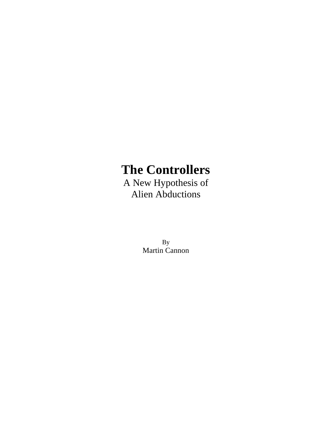A New Hypothesis of Alien Abductions

> By Martin Cannon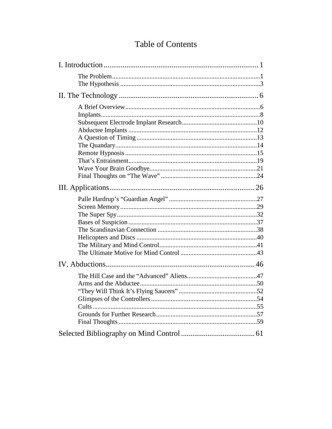# **Table of Contents**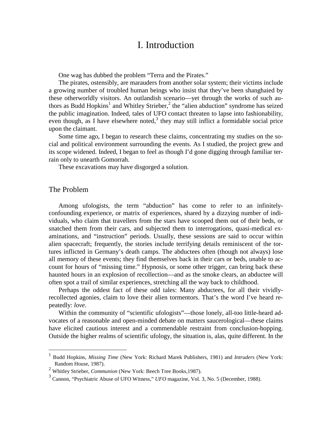## I. Introduction

One wag has dubbed the problem "Terra and the Pirates."

The pirates, ostensibly, are marauders from another solar system; their victims include a growing number of troubled human beings who insist that they've been shanghaied by these otherworldly visitors. An outlandish scenario—yet through the works of such authors as Budd Hopkins<sup>1</sup> and Whitley Strieber,<sup>2</sup> the "alien abduction" syndrome has seized the public imagination. Indeed, tales of UFO contact threaten to lapse into fashionability, even though, as I have elsewhere noted, $3$  they may still inflict a formidable social price upon the claimant.

Some time ago, I began to research these claims, concentrating my studies on the social and political environment surrounding the events. As I studied, the project grew and its scope widened. Indeed, I began to feel as though I'd gone digging through familiar terrain only to unearth Gomorrah.

These excavations may have disgorged a solution.

#### The Problem

-

Among ufologists, the term "abduction" has come to refer to an infinitelyconfounding experience, or matrix of experiences, shared by a dizzying number of individuals, who claim that travellers from the stars have scooped them out of their beds, or snatched them from their cars, and subjected them to interrogations, quasi-medical examinations, and "instruction" periods. Usually, these sessions are said to occur within alien spacecraft; frequently, the stories include terrifying details reminiscent of the tortures inflicted in Germany's death camps. The abductees often (though not always) lose all memory of these events; they find themselves back in their cars or beds, unable to account for hours of "missing time." Hypnosis, or some other trigger, can bring back these haunted hours in an explosion of recollection—and as the smoke clears, an abductee will often spot a trail of similar experiences, stretching all the way back to childhood.

Perhaps the oddest fact of these odd tales: Many abductees, for all their vividlyrecollected agonies, claim to love their alien tormentors. That's the word I've heard repeatedly: *love*.

Within the community of "scientific ufologists"—those lonely, all-too little-heard advocates of a reasonable and open-minded debate on matters saucerological—these claims have elicited cautious interest and a commendable restraint from conclusion-hopping. Outside the higher realms of scientific ufology, the situation is, alas, quite different. In the

<sup>1</sup> Budd Hopkins, *Missing Time* (New York: Richard Marek Publishers, 1981) and *Intruders* (New York: Random House, 1987).

<sup>2</sup> Whitley Strieber, *Communion* (New York: Beech Tree Books,1987).

<sup>&</sup>lt;sup>3</sup> Cannon, "Psychiatric Abuse of UFO Witness," *UFO* magazine, Vol. 3, No. 5 (December, 1988).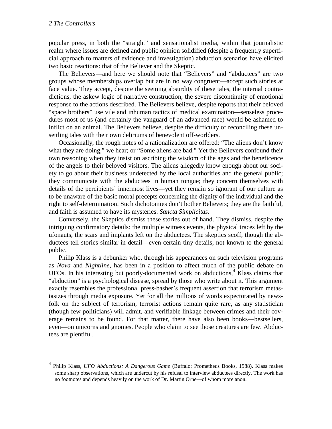<u>.</u>

popular press, in both the "straight" and sensationalist media, within that journalistic realm where issues are defined and public opinion solidified (despite a frequently superficial approach to matters of evidence and investigation) abduction scenarios have elicited two basic reactions: that of the Believer and the Skeptic.

The Believers—and here we should note that "Believers" and "abductees" are two groups whose memberships overlap but are in no way congruent—accept such stories at face value. They accept, despite the seeming absurdity of these tales, the internal contradictions, the askew logic of narrative construction, the severe discontinuity of emotional response to the actions described. The Believers believe, despite reports that their beloved "space brothers" use vile and inhuman tactics of medical examination—senseless procedures most of us (and certainly the vanguard of an advanced race) would be ashamed to inflict on an animal. The Believers believe, despite the difficulty of reconciling these unsettling tales with their own deliriums of benevolent off-worlders.

Occasionally, the rough notes of a rationalization are offered: "The aliens don't know what they are doing," we hear; or "Some aliens are bad." Yet the Believers confound their own reasoning when they insist on ascribing the wisdom of the ages and the beneficence of the angels to their beloved visitors. The aliens allegedly know enough about our society to go about their business undetected by the local authorities and the general public; they communicate with the abductees in human tongue; they concern themselves with details of the percipients' innermost lives—yet they remain so ignorant of our culture as to be unaware of the basic moral precepts concerning the dignity of the individual and the right to self-determination. Such dichotomies don't bother Believers; they are the faithful, and faith is assumed to have its mysteries. *Sancta Simplicitas*.

Conversely, the Skeptics dismiss these stories out of hand. They dismiss, despite the intriguing confirmatory details: the multiple witness events, the physical traces left by the ufonauts, the scars and implants left on the abductees. The skeptics scoff, though the abductees tell stories similar in detail—even certain tiny details, not known to the general public.

Philip Klass is a debunker who, through his appearances on such television programs as *Nova* and *Nightline,* has been in a position to affect much of the public debate on UFOs. In his interesting but poorly-documented work on abductions,<sup>4</sup> Klass claims that "abduction" is a psychological disease, spread by those who write about it. This argument exactly resembles the professional press-basher's frequent assertion that terrorism metastasizes through media exposure. Yet for all the millions of words expectorated by newsfolk on the subject of terrorism, terrorist actions remain quite rare, as any statistician (though few politicians) will admit, and verifiable linkage between crimes and their coverage remains to be found. For that matter, there have also been books—bestsellers, even—on unicorns and gnomes. People who claim to see those creatures are few. Abductees are plentiful.

<sup>4</sup> Philip Klass, *UFO Abductions: A Dangerous Game* (Buffalo: Prometheus Books, 1988). Klass makes some sharp observations, which are undercut by his refusal to interview abductees directly. The work has no footnotes and depends heavily on the work of Dr. Martin Orne—of whom more anon.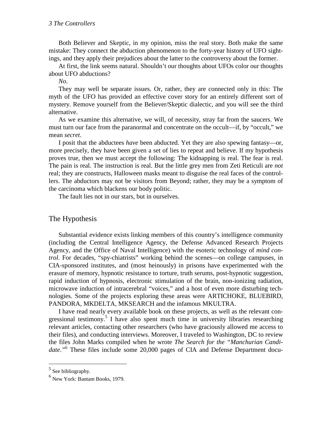Both Believer and Skeptic, in my opinion, miss the real story. Both make the same mistake: They connect the abduction phenomenon to the forty-year history of UFO sightings, and they apply their prejudices about the latter to the controversy about the former.

At first, the link seems natural. Shouldn't our thoughts about UFOs color our thoughts about UFO abductions?

*No*.

They may well be separate issues. Or, rather, they are connected only in this: The myth of the UFO has provided an effective cover story for an entirely different sort of mystery. Remove yourself from the Believer/Skeptic dialectic, and you will see the third alternative.

As we examine this alternative, we will, of necessity, stray far from the saucers. We must turn our face from the paranormal and concentrate on the occult—if, by "occult," we mean *secret*.

I posit that the abductees *have* been abducted. Yet they are also spewing fantasy—or, more precisely, they have been given a set of lies to repeat and believe. If my hypothesis proves true, then we must accept the following: The kidnapping is real. The fear is real. The pain is real. The instruction is real. But the little grey men from Zeti Reticuli are *not* real; they are constructs, Halloween masks meant to disguise the real faces of the controllers. The abductors may not be visitors from Beyond; rather, they may be a symptom of the carcinoma which blackens our body politic.

The fault lies not in our stars, but in ourselves.

## The Hypothesis

Substantial evidence exists linking members of this country's intelligence community (including the Central Intelligence Agency, the Defense Advanced Research Projects Agency, and the Office of Naval Intelligence) with the esoteric technology of *mind control*. For decades, "spy-chiatrists" working behind the scenes—on college campuses, in CIA-sponsored institutes, and (most heinously) in prisons have experimented with the erasure of memory, hypnotic resistance to torture, truth serums, post-hypnotic suggestion, rapid induction of hypnosis, electronic stimulation of the brain, non-ionizing radiation, microwave induction of intracerebral "voices," and a host of even more disturbing technologies. Some of the projects exploring these areas were ARTICHOKE, BLUEBIRD, PANDORA, MKDELTA, MKSEARCH and the infamous MKULTRA.

I have read nearly every available book on these projects, as well as the relevant congressional testimony.<sup>5</sup> I have also spent much time in university libraries researching relevant articles, contacting other researchers (who have graciously allowed me access to their files), and conducting interviews. Moreover, I traveled to Washington, DC to review the files John Marks compiled when he wrote *The Search for the "Manchurian Candi*date.<sup>"6</sup> These files include some 20,000 pages of CIA and Defense Department docu-

<sup>&</sup>lt;sup>5</sup> See bibliography.

<sup>6</sup> New York: Bantam Books, 1979.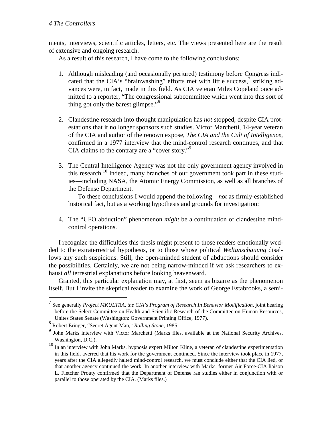ments, interviews, scientific articles, letters, etc. The views presented here are the result of extensive and ongoing research.

As a result of this research, I have come to the following conclusions:

- 1. Although misleading (and occasionally perjured) testimony before Congress indicated that the CIA's "brainwashing" efforts met with little success,<sup>7</sup> striking advances were, in fact, made in this field. As CIA veteran Miles Copeland once admitted to a reporter, "The congressional subcommittee which went into this sort of thing got only the barest glimpse."<sup>8</sup>
- 2. Clandestine research into thought manipulation has *not* stopped, despite CIA protestations that it no longer sponsors such studies. Victor Marchetti, 14-year veteran of the CIA and author of the renown expose, *The CIA and the Cult of Intelligence,* confirmed in a 1977 interview that the mind-control research continues, and that CIA claims to the contrary are a "cover story."<sup>9</sup>
- 3. The Central Intelligence Agency was not the only government agency involved in this research.<sup>10</sup> Indeed, many branches of our government took part in these studies—including NASA, the Atomic Energy Commission, as well as all branches of the Defense Department.

To these conclusions I would append the following—*not* as firmly-established historical fact, but as a working hypothesis and grounds for investigation:

4. The "UFO abduction" phenomenon *might* be a continuation of clandestine mindcontrol operations.

I recognize the difficulties this thesis might present to those readers emotionally wedded to the extraterrestrial hypothesis, or to those whose political *Weltanschauung* disallows any such suspicions. Still, the open-minded student of abductions should consider the possibilities. Certainly, we are not being narrow-minded if we ask researchers to exhaust *all* terrestrial explanations before looking heavenward.

Granted, this particular explanation may, at first, seem as bizarre as the phenomenon itself. But I invite the skeptical reader to examine the work of George Estabrooks, a semi-

 $\overline{a}$ 

<sup>7</sup> See generally *Project MKULTRA, the CIA's Program of Research In Behavior Modification,* joint hearing before the Select Committee on Health and Scientific Research of the Committee on Human Resources, Unites States Senate (Washington: Government Printing Office, 1977).

<sup>8</sup> Robert Eringer, "Secret Agent Man," *Rolling Stone,* 1985.

<sup>&</sup>lt;sup>9</sup> John Marks interview with Victor Marchetti (Marks files, available at the National Security Archives, Washington, D.C.).

<sup>&</sup>lt;sup>10</sup> In an interview with John Marks, hypnosis expert Milton Kline, a veteran of clandestine experimentation in this field, averred that his work for the government continued. Since the interview took place in 1977, years after the CIA allegedly halted mind-control research, we must conclude either that the CIA lied, or that another agency continued the work. In another interview with Marks, former Air Force-CIA liaison L. Fletcher Prouty confirmed that the Department of Defense ran studies either in conjunction with or parallel to those operated by the CIA. (Marks files.)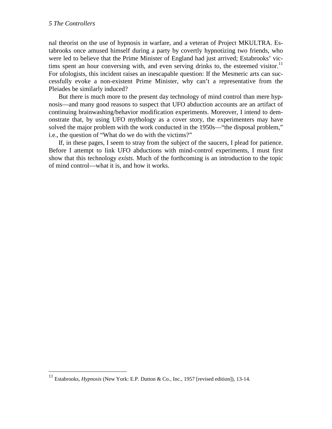<u>.</u>

nal theorist on the use of hypnosis in warfare, and a veteran of Project MKULTRA. Estabrooks once amused himself during a party by covertly hypnotizing two friends, who were led to believe that the Prime Minister of England had just arrived; Estabrooks' victims spent an hour conversing with, and even serving drinks to, the esteemed visitor.<sup>11</sup> For ufologists, this incident raises an inescapable question: If the Mesmeric arts can successfully evoke a non-existent Prime Minister, why can't a representative from the Pleiades be similarly induced?

But there is much more to the present day technology of mind control than mere hypnosis—and many good reasons to suspect that UFO abduction accounts are an artifact of continuing brainwashing/behavior modification experiments. Moreover, I intend to demonstrate that, by using UFO mythology as a cover story, the experimenters may have solved the major problem with the work conducted in the 1950s—"the disposal problem," i.e., the question of "What do we do with the victims?"

If, in these pages, I seem to stray from the subject of the saucers, I plead for patience. Before I attempt to link UFO abductions with mind-control experiments, I must first show that this technology *exists*. Much of the forthcoming is an introduction to the topic of mind control—what it is, and how it works.

<sup>11</sup> Estabrooks, *Hypnosis* (New York: E.P. Dutton & Co., Inc., 1957 [revised edition]), 13-14.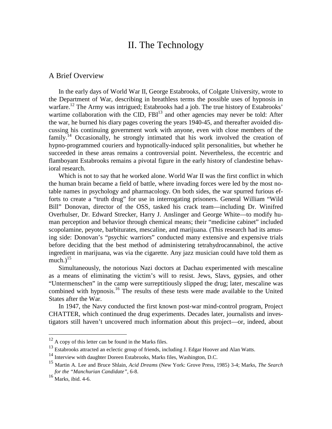# II. The Technology

## A Brief Overview

In the early days of World War II, George Estabrooks, of Colgate University, wrote to the Department of War, describing in breathless terms the possible uses of hypnosis in warfare.<sup>12</sup> The Army was intrigued; Estabrooks had a job. The true history of Estabrooks' wartime collaboration with the CID,  $FBI<sup>13</sup>$  and other agencies may never be told: After the war, he burned his diary pages covering the years 1940-45, and thereafter avoided discussing his continuing government work with anyone, even with close members of the family.<sup>14</sup> Occasionally, he strongly intimated that his work involved the creation of hypno-programmed couriers and hypnotically-induced split personalities, but whether he succeeded in these areas remains a controversial point. Nevertheless, the eccentric and flamboyant Estabrooks remains a pivotal figure in the early history of clandestine behavioral research.

Which is not to say that he worked alone. World War II was the first conflict in which the human brain became a field of battle, where invading forces were led by the most notable names in psychology and pharmacology. On both sides, the war spurred furious efforts to create a "truth drug" for use in interrogating prisoners. General William "Wild Bill" Donovan, director of the OSS, tasked his crack team—including Dr. Winifred Overhulser, Dr. Edward Strecker, Harry J. Anslinger and George White—to modify human perception and behavior through chemical means; their "medicine cabinet" included scopolamine, peyote, barbiturates, mescaline, and marijuana. (This research had its amusing side: Donovan's "psychic warriors" conducted many extensive and expensive trials before deciding that the best method of administering tetrahydrocannabinol, the active ingredient in marijuana, was via the cigarette. Any jazz musician could have told them as much.) $15$ 

Simultaneously, the notorious Nazi doctors at Dachau experimented with mescaline as a means of eliminating the victim's will to resist. Jews, Slavs, gypsies, and other "Untermenschen" in the camp were surreptitiously slipped the drug; later, mescaline was combined with hypnosis.<sup>16</sup> The results of these tests were made available to the United States after the War.

In 1947, the Navy conducted the first known post-war mind-control program, Project CHATTER, which continued the drug experiments. Decades later, journalists and investigators still haven't uncovered much information about this project—or, indeed, about

 $12$  A copy of this letter can be found in the Marks files.

<sup>&</sup>lt;sup>13</sup> Estabrooks attracted an eclectic group of friends, including J. Edgar Hoover and Alan Watts.

<sup>&</sup>lt;sup>14</sup> Interview with daughter Doreen Estabrooks, Marks files, Washington, D.C.

<sup>15</sup> Martin A. Lee and Bruce Shlain, *Acid Dreams* (New York: Grove Press, 1985) 3-4; Marks, *The Search for the "Manchurian Candidate",* 6-8.

 $16$  Marks, ibid. 4-6.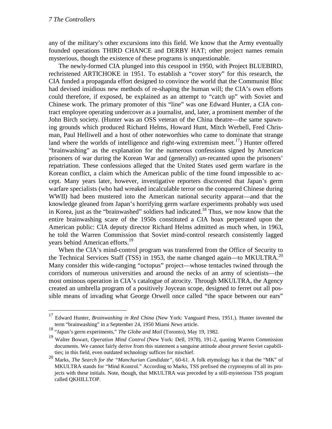<u>.</u>

any of the military's other excursions into this field. We know that the Army eventually founded operations THIRD CHANCE and DERBY HAT; other project names remain mysterious, though the existence of these programs is unquestionable.

The newly-formed CIA plunged into this cesspool in 1950, with Project BLUEBIRD, rechristened ARTICHOKE in 1951. To establish a "cover story" for this research, the CIA funded a propaganda effort designed to convince the world that the Communist Bloc had devised insidious new methods of re-shaping the human will; the CIA's own efforts could therefore, if exposed, be explained as an attempt to "catch up" with Soviet and Chinese work. The primary promoter of this "line" was one Edward Hunter, a CIA contract employee operating undercover as a journalist, and, later, a prominent member of the John Birch society. (Hunter was an OSS veteran of the China theatre—the same spawning grounds which produced Richard Helms, Howard Hunt, Mitch Werbell, Fred Chrisman, Paul Helliwell and a host of other noteworthies who came to dominate that strange land where the worlds of intelligence and right-wing extremism meet.<sup>17</sup>) Hunter offered "brainwashing" as the explanation for the numerous confessions signed by American prisoners of war during the Korean War and (generally) *un-*recanted upon the prisoners' repatriation. These confessions alleged that the United States used germ warfare in the Korean conflict, a claim which the American public of the time found impossible to accept. Many years later, however, investigative reporters discovered that Japan's germ warfare specialists (who had wreaked incalculable terror on the conquered Chinese during WWII) had been mustered into the American national security apparat—and that the knowledge gleaned from Japan's horrifying germ warfare experiments probably *was* used in Korea, just as the "brainwashed" soldiers had indicated.<sup>18</sup> Thus, we now know that the entire brainwashing scare of the 1950s constituted a CIA hoax perpetrated upon the American public: CIA deputy director Richard Helms admitted as much when, in 1963, he told the Warren Commission that Soviet mind-control research consistently lagged years behind American efforts.<sup>19</sup>

When the CIA's mind-control program was transferred from the Office of Security to the Technical Services Staff (TSS) in 1953, the name changed again—to MKULTRA.<sup>20</sup> Many consider this wide-ranging "octopus" project—whose tentacles twined through the corridors of numerous universities and around the necks of an army of scientists—the most ominous operation in CIA's catalogue of atrocity. Through MKULTRA, the Agency created an umbrella program of a positively Joycean scope, designed to ferret out all possible means of invading what George Orwell once called "the space between our ears"

<sup>17</sup> Edward Hunter, *Brainwashing in Red China* (New York: Vanguard Press, 1951.). Hunter invented the term "brainwashing" in a September 24, 1950 Miami *News* article.

<sup>18</sup> "Japan's germ experiments," *The Globe and Mail* (Toronto), May 19, 1982.

<sup>19</sup> Walter Bowart, *Operation Mind Control* (New York: Dell, 1978), 191-2, quoting Warren Commission documents. We cannot fairly derive from this statement a sanguine attitude about *present* Soviet capabilities; in this field, even outdated technology suffices for mischief.

<sup>20</sup> Marks, *The Search for the "Manchurian Candidate",* 60-61. A folk etymology has it that the "MK" of MKULTRA stands for "Mind Kontrol." According to Marks, TSS prefixed the cryptonyms of all its projects with these initials. Note, though, that MKULTRA was preceded by a still-mysterious TSS program called QKHILLTOP.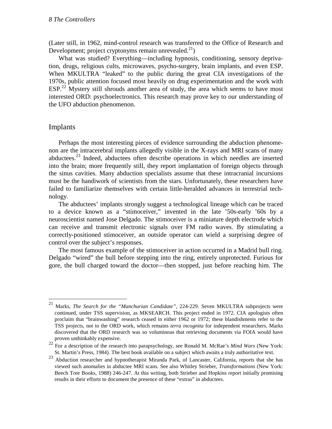(Later still, in 1962, mind-control research was transferred to the Office of Research and Development; project cryptonyms remain unrevealed.<sup>21</sup>)

What was studied? Everything—including hypnosis, conditioning, sensory deprivation, drugs, religious cults, microwaves, psycho-surgery, brain implants, and even ESP. When MKULTRA "leaked" to the public during the great CIA investigations of the 1970s, public attention focused most heavily on drug experimentation and the work with  $ESP<sup>22</sup>$  Mystery still shrouds another area of study, the area which seems to have most interested ORD: psychoelectronics. This research may prove key to our understanding of the UFO abduction phenomenon.

## Implants

<u>.</u>

Perhaps the most interesting pieces of evidence surrounding the abduction phenomenon are the intracerebral implants allegedly visible in the X-rays and MRI scans of many abductees.<sup>23</sup> Indeed, abductees often describe operations in which needles are inserted into the brain; more frequently still, they report implantation of foreign objects through the sinus cavities. Many abduction specialists assume that these intracranial incursions must be the handiwork of scientists from the stars. Unfortunately, these researchers have failed to familiarize themselves with certain little-heralded advances in terrestrial technology.

The abductees' implants strongly suggest a technological lineage which can be traced to a device known as a "stimoceiver," invented in the late '50s-early '60s by a neuroscientist named Jose Delgado. The stimoceiver is a miniature depth electrode which can receive and transmit electronic signals over FM radio waves. By stimulating a correctly-positioned stimoceiver, an outside operator can wield a surprising degree of control over the subject's responses.

The most famous example of the stimoceiver in action occurred in a Madrid bull ring. Delgado "wired" the bull before stepping into the ring, entirely unprotected. Furious for gore, the bull charged toward the doctor—then stopped, just before reaching him. The

<sup>21</sup> Marks, *The Search for the "Manchurian Candidate",* 224-229. Seven MKULTRA subprojects were continued, under TSS supervision, as MKSEARCH. This project ended in 1972. CIA apologists often proclaim that "brainwashing" research ceased in either 1962 or 1972; these blandishments refer to the TSS projects, not to the ORD work, which remains *terra incognita* for independent researchers. Marks discovered that the ORD research was so voluminous that retrieving documents via FOIA would have proven unthinkably expensive.

<sup>&</sup>lt;sup>22</sup> For a description of the research into parapsychology, see Ronald M. McRae's *Mind Wars* (New York: St. Martin's Press, 1984). The best book available on a subject which awaits a truly authoritative text.

<sup>&</sup>lt;sup>23</sup> Abduction researcher and hypnotherapist Miranda Park, of Lancaster, California, reports that she has viewed such anomalies in abductee MRI scans. See also Whitley Strieber, *Transformations* (New York: Beech Tree Books, 1988) 246-247. At this writing, both Strieber and Hopkins report initially promising results in their efforts to document the presence of these "extras" in abductees.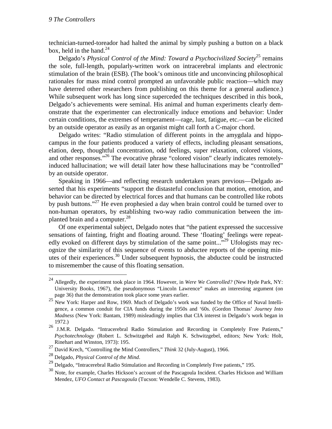technician-turned-toreador had halted the animal by simply pushing a button on a black box, held in the hand. $^{24}$ 

Delgado's *Physical Control of the Mind: Toward a Psychocivilized Society*<sup>25</sup> remains the sole, full-length, popularly-written work on intracerebral implants and electronic stimulation of the brain (ESB). (The book's ominous title and unconvincing philosophical rationales for mass mind control prompted an unfavorable public reaction—which may have deterred other researchers from publishing on this theme for a general audience.) While subsequent work has long since superceded the techniques described in this book, Delgado's achievements were seminal. His animal and human experiments clearly demonstrate that the experimenter can electronically induce emotions and behavior: Under certain conditions, the extremes of temperament—rage, lust, fatigue, etc.—can be elicited by an outside operator as easily as an organist might call forth a C-major chord.

Delgado writes: "Radio stimulation of different points in the amygdala and hippocampus in the four patients produced a variety of effects, including pleasant sensations, elation, deep, thoughtful concentration, odd feelings, super relaxation, colored visions, and other responses."<sup>26</sup> The evocative phrase "colored vision" clearly indicates remotelyinduced hallucination; we will detail later how these hallucinations may be "controlled" by an outside operator.

Speaking in 1966—and reflecting research undertaken years previous—Delgado asserted that his experiments "support the distasteful conclusion that motion, emotion, and behavior can be directed by electrical forces and that humans can be controlled like robots by push buttons."<sup>27</sup> He even prophesied a day when brain control could be turned over to non-human operators, by establishing two-way radio communication between the implanted brain and a computer.<sup>28</sup>

Of one experimental subject, Delgado notes that "the patient expressed the successive sensations of fainting, fright and floating around. These 'floating' feelings were repeatedly evoked on different days by stimulation of the same point..."<sup>29</sup> Ufologists may recognize the similarity of this sequence of events to abductee reports of the opening minutes of their experiences.<sup>30</sup> Under subsequent hypnosis, the abductee could be instructed to misremember the cause of this floating sensation.

<sup>24</sup> Allegedly, the experiment took place in 1964. However, in *Were We Controlled?* (New Hyde Park, NY: University Books, 1967), the pseudonymous "Lincoln Lawrence" makes an interesting argument (on page 36) that the demonstration took place some years earlier.

 $25$  New York: Harper and Row, 1969. Much of Delgado's work was funded by the Office of Naval Intelligence, a common conduit for CIA funds during the 1950s and '60s. (Gordon Thomas' *Journey Into Madness* (New York: Bantam, 1989) misleadingly implies that CIA interest in Delgado's work began in  $\frac{1972.}{26}$ 

<sup>26</sup> J.M.R. Delgado. "Intracerebral Radio Stimulation and Recording in Completely Free Patients," *Psychotechnology* (Robert L. Schwitzgebel and Ralph K. Schwitzgebel, editors; New York: Holt, Rinehart and Winston, 1973): 195.

<sup>27</sup> David Krech, "Controlling the Mind Controllers," *Think* 32 (July-August), 1966.

<sup>28</sup> Delgado, *Physical Control of the Mind*.

<sup>&</sup>lt;sup>29</sup> Delgado, "Intracerebral Radio Stimulation and Recording in Completely Free patients," 195.

<sup>30</sup> Note, for example, Charles Hickson's account of the Pascagoula Incident. Charles Hickson and William Mendez, *UFO Contact at Pascagoula* (Tucson: Wendelle C. Stevens, 1983).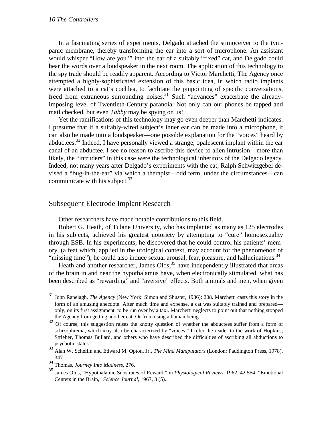In a fascinating series of experiments, Delgado attached the stimoceiver to the tympanic membrane, thereby transforming the ear into a sort of microphone. An assistant would whisper "How are you?" into the ear of a suitably "fixed" cat, and Delgado could hear the words over a loudspeaker in the next room. The application of this technology to the spy trade should be readily apparent. According to Victor Marchetti, The Agency once attempted a highly-sophisticated extension of this basic idea, in which radio implants were attached to a cat's cochlea, to facilitate the pinpointing of specific conversations, freed from extraneous surrounding noises.<sup>31</sup> Such "advances" exacerbate the alreadyimposing level of Twentieth-Century paranoia: Not only can our phones be tapped and mail checked, but even *Tabby* may be spying on us!

Yet the ramifications of this technology may go even deeper than Marchetti indicates. I presume that if a suitably-wired subject's inner ear can be made into a microphone, it can also be made into a loudspeaker—one possible explanation for the "voices" heard by abductees.<sup>32</sup> Indeed, I have personally viewed a strange, opalescent implant within the ear canal of an abductee. I see no reason to ascribe this device to alien intrusion—more than likely, the "intruders" in this case were the technological inheritors of the Delgado legacy. Indeed, not many years after Delgado's experiments with the cat, Ralph Schwitzgebel devised a "bug-in-the-ear" via which a therapist—odd term, under the circumstances—can communicate with his subject.<sup>33</sup>

## Subsequent Electrode Implant Research

Other researchers have made notable contributions to this field.

Robert G. Heath, of Tulane University, who has implanted as many as 125 electrodes in his subjects, achieved his greatest notoriety by attempting to "cure" homosexuality through ESB. In his experiments, he discovered that he could control his patients' memory, (a feat which, applied in the ufological context, may account for the phenomenon of "missing time"); he could also induce sexual arousal, fear, pleasure, and hallucinations.<sup>34</sup>

Heath and another researcher, James Olds, $35$  have independently illustrated that areas of the brain in and near the hypothalamus have, when electronically stimulated, what has been described as "rewarding" and "aversive" effects. Both animals and men, when given

<sup>31</sup> John Ranelagh, *The Agency* (New York: Simon and Shuster, 1986): 208. Marchetti casts this story in the form of an amusing anecdote: After much time and expense, a cat was suitably trained and prepared only, on its first assignment, to be run over by a taxi. Marchetti neglects to point out that nothing stopped the Agency from getting another cat. Or from using a human being.

<sup>&</sup>lt;sup>32</sup> Of course, this suggestion raises the knotty question of whether the abductees suffer from a form of schizophrenia, which may also be characterized by "voices." I refer the reader to the work of Hopkins, Strieber, Thomas Bullard, and others who have described the difficulties of ascribing all abductions to psychotic states.

<sup>33</sup> Alan W. Scheflin and Edward M. Opton, Jr., *The Mind Manipulators* (London: Paddington Press, 1978), 347.

<sup>34</sup> Thomas, *Journey Into Madness,* 276.

<sup>35</sup> James Olds, "Hypothalamic Substrates of Reward," in *Physiological Reviews,* 1962, 42:554; "Emotional Centers in the Brain," *Science Journal,* 1967, 3 (5).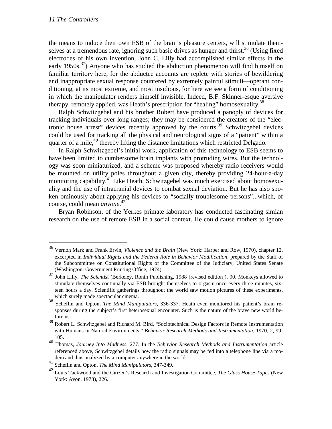<u>.</u>

the means to induce their own ESB of the brain's pleasure centers, will stimulate themselves at a tremendous rate, ignoring such basic drives as hunger and thirst.<sup>36</sup> (Using fixed electrodes of his own invention, John C. Lilly had accomplished similar effects in the early 1950s.<sup>37</sup>) Anyone who has studied the abduction phenomenon will find himself on familiar territory here, for the abductee accounts are replete with stories of bewildering and inappropriate sexual response countered by extremely painful stimuli—operant conditioning, at its most extreme, and most insidious, for here we see a form of conditioning in which the manipulator renders himself invisible. Indeed, B.F. Skinner-esque aversive therapy, remotely applied, was Heath's prescription for "healing" homosexuality.<sup>38</sup>

Ralph Schwitzgebel and his brother Robert have produced a panoply of devices for tracking individuals over long ranges; they may be considered the creators of the "electronic house arrest" devices recently approved by the courts.<sup>39</sup> Schwitzgebel devices could be used for tracking all the physical and neurological signs of a "patient" within a quarter of a mile,<sup>40</sup> thereby lifting the distance limitations which restricted Delgado.

In Ralph Schwitzgebel's initial work, application of this technology to ESB seems to have been limited to cumbersome brain implants with protruding wires. But the technology was soon miniaturized, and a scheme was proposed whereby radio receivers would be mounted on utility poles throughout a given city, thereby providing 24-hour-a-day monitoring capability.<sup>41</sup> Like Heath, Schwitzgebel was much exercised about homosexuality and the use of intracranial devices to combat sexual deviation. But he has also spoken ominously about applying his devices to "socially troublesome persons"...which, of course, could mean *anyone*. 42

Bryan Robinson, of the Yerkes primate laboratory has conducted fascinating simian research on the use of remote ESB in a social context. He could cause mothers to ignore

<sup>36</sup> Vernon Mark and Frank Ervin, *Violence and the Brain* (New York: Harper and Row, 1970), chapter 12, excerpted in *Individual Rights and the Federal Role in Behavior Modification,* prepared by the Staff of the Subcommittee on Constitutional Rights of the Committee of the Judiciary, United States Senate (Washington: Government Printing Office, 1974).

<sup>37</sup> John Lilly, *The Scientist* (Berkeley, Ronin Publishing, 1988 [revised edition]), 90. Monkeys allowed to stimulate themselves continually via ESB brought themselves to orgasm once every three minutes, sixteen hours a day. Scientific gatherings throughout the world saw motion pictures of these experiments, which surely made spectacular cinema.

<sup>38</sup> Scheflin and Opton, *The Mind Manipulators,* 336-337. Heath even monitored his patient's brain responses during the subject's first heterosexual encounter. Such is the nature of the brave new world before us.

<sup>&</sup>lt;sup>39</sup> Robert L. Schwitzgebel and Richard M. Bird, "Sociotechnical Design Factors in Remote Instrumentation with Humans in Natural Environments," *Behavior Research Methods and Instrumentation,* 1970, 2, 99- 105.

<sup>40</sup> Thomas, *Journey Into Madness,* 277. In the *Behavior Research Methods and Instrumentation* article referenced above, Schwitzgebel details how the radio signals may be fed into a telephone line via a modem and thus analyzed by a computer anywhere in the world.

<sup>41</sup> Scheflin and Opton, *The Mind Manipulators,* 347-349.

<sup>42</sup> Louis Tackwood and the Citizen's Research and Investigation Committee, *The Glass House Tapes* (New York: Avon, 1973), 226.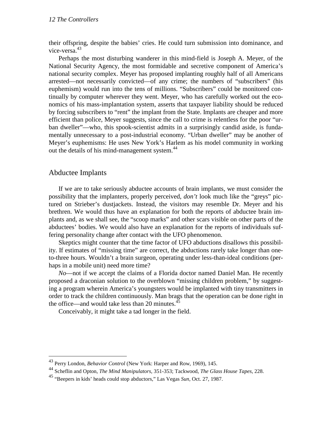their offspring, despite the babies' cries. He could turn submission into dominance, and vice-versa.<sup>43</sup>

Perhaps the most disturbing wanderer in this mind-field is Joseph A. Meyer, of the National Security Agency, the most formidable and secretive component of America's national security complex. Meyer has proposed implanting roughly half of all Americans arrested—not necessarily convicted—of any crime; the numbers of "subscribers" (his euphemism) would run into the tens of millions. "Subscribers" could be monitored continually by computer wherever they went. Meyer, who has carefully worked out the economics of his mass-implantation system, asserts that taxpayer liability should be reduced by forcing subscribers to "rent" the implant from the State. Implants are cheaper and more efficient than police, Meyer suggests, since the call to crime is relentless for the poor "urban dweller"—who, this spook-scientist admits in a surprisingly candid aside, is fundamentally unnecessary to a post-industrial economy. "Urban dweller" may be another of Meyer's euphemisms: He uses New York's Harlem as his model community in working out the details of his mind-management system.<sup>44</sup>

## Abductee Implants

<u>.</u>

If we are to take seriously abductee accounts of brain implants, we must consider the possibility that the implanters, properly perceived, *don't* look much like the "greys" pictured on Strieber's dustjackets. Instead, the visitors may resemble Dr. Meyer and his brethren. We would thus have an explanation for both the reports of abductee brain implants and, as we shall see, the "scoop marks" and other scars visible on other parts of the abductees' bodies. We would also have an explanation for the reports of individuals suffering personality change after contact with the UFO phenomenon.

Skeptics might counter that the time factor of UFO abductions disallows this possibility. If estimates of "missing time" are correct, the abductions rarely take longer than oneto-three hours. Wouldn't a brain surgeon, operating under less-than-ideal conditions (perhaps in a mobile unit) need more time?

*No*—not if we accept the claims of a Florida doctor named Daniel Man. He recently proposed a draconian solution to the overblown "missing children problem," by suggesting a program wherein America's youngsters would be implanted with tiny transmitters in order to track the children continuously. Man brags that the operation can be done right in the office—and would take less than 20 minutes. $45$ 

Conceivably, it might take a tad longer in the field.

<sup>43</sup> Perry London, *Behavior Control* (New York: Harper and Row, 1969), 145.

<sup>44</sup> Scheflin and Opton, *The Mind Manipulators,* 351-353; Tackwood, *The Glass House Tapes,* 228.

<sup>45</sup> "Beepers in kids' heads could stop abductors," Las Vegas *Sun,* Oct. 27, 1987.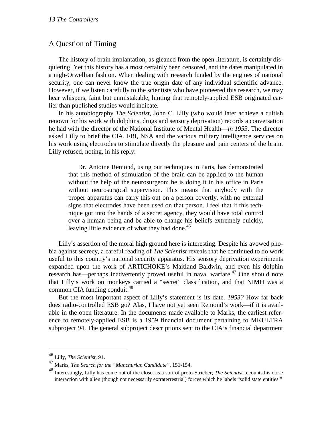## A Question of Timing

The history of brain implantation, as gleaned from the open literature, is certainly disquieting. Yet this history has almost certainly been censored, and the dates manipulated in a nigh-Orwellian fashion. When dealing with research funded by the engines of national security, one can never know the true origin date of any individual scientific advance. However, if we listen carefully to the scientists who have pioneered this research, we may hear whispers, faint but unmistakable, hinting that remotely-applied ESB originated earlier than published studies would indicate.

In his autobiography *The Scientist,* John C. Lilly (who would later achieve a cultish renown for his work with dolphins, drugs and sensory deprivation) records a conversation he had with the director of the National Institute of Mental Health—*in 1953*. The director asked Lilly to brief the CIA, FBI, NSA and the various military intelligence services on his work using electrodes to stimulate directly the pleasure and pain centers of the brain. Lilly refused, noting, in his reply:

Dr. Antoine Remond, using our techniques in Paris, has demonstrated that this method of stimulation of the brain can be applied to the human without the help of the neurosurgeon; he is doing it in his office in Paris without neurosurgical supervision. This means that anybody with the proper apparatus can carry this out on a person covertly, with no external signs that electrodes have been used on that person. I feel that if this technique got into the hands of a secret agency, they would have total control over a human being and be able to change his beliefs extremely quickly, leaving little evidence of what they had done.<sup>46</sup>

Lilly's assertion of the moral high ground here is interesting. Despite his avowed phobia against secrecy, a careful reading of *The Scientist* reveals that he continued to do work useful to this country's national security apparatus. His sensory deprivation experiments expanded upon the work of ARTICHOKE's Maitland Baldwin, and even his dolphin research has—perhaps inadvertently proved useful in naval warfare.<sup>47</sup> One should note that Lilly's work on monkeys carried a "secret" classification, and that NIMH was a common CIA funding conduit. $48$ 

But the most important aspect of Lilly's statement is its date. *1953?* How far back does radio-controlled ESB go? Alas, I have not yet seen Remond's work—if it is available in the open literature. In the documents made available to Marks, the earliest reference to remotely-applied ESB is a 1959 financial document pertaining to MKULTRA subproject 94. The general subproject descriptions sent to the CIA's financial department

-

<sup>46</sup> Lilly, *The Scientist,* 91.

<sup>47</sup> Marks, *The Search for the "Manchurian Candidate",* 151-154.

<sup>48</sup> Interestingly, Lilly has come out of the closet as a sort of proto-Strieber; *The Scientist* recounts his close interaction with alien (though not necessarily extraterrestrial) forces which he labels "solid state entities."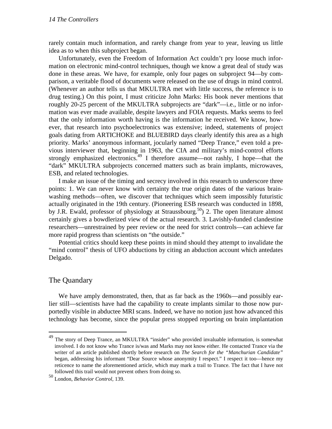rarely contain much information, and rarely change from year to year, leaving us little idea as to when this subproject began.

Unfortunately, even the Freedom of Information Act couldn't pry loose much information on electronic mind-control techniques, though we know a great deal of study was done in these areas. We have, for example, only four pages on subproject 94—by comparison, a veritable flood of documents were released on the use of drugs in mind control. (Whenever an author tells us that MKULTRA met with little success, the reference is to drug testing.) On this point, I must criticize John Marks: His book never mentions that roughly 20-25 percent of the MKULTRA subprojects are "dark"—i.e., little or no information was ever made available, despite lawyers and FOIA requests. Marks seems to feel that the only information worth having is the information he received. We know, however, that research into psychoelectronics was extensive; indeed, statements of project goals dating from ARTICHOKE and BLUEBIRD days clearly identify this area as a high priority. Marks' anonymous informant, jocularly named "Deep Trance," even told a previous interviewer that, beginning in 1963, the CIA and military's mind-control efforts strongly emphasized electronics.<sup>49</sup> I therefore assume—not rashly, I hope—that the "dark" MKULTRA subprojects concerned matters such as brain implants, microwaves, ESB, and related technologies.

I make an issue of the timing and secrecy involved in this research to underscore three points: 1. We can never know with certainty the true origin dates of the various brainwashing methods—often, we discover that techniques which seem impossibly futuristic actually originated in the 19th century. (Pioneering ESB research was conducted in 1898, by J.R. Ewald, professor of physiology at Straussbourg.<sup>50</sup>) 2. The open literature almost certainly gives a bowdlerized view of the actual research. 3. Lavishly-funded clandestine researchers—unrestrained by peer review or the need for strict controls—can achieve far more rapid progress than scientists on "the outside."

Potential critics should keep these points in mind should they attempt to invalidate the "mind control" thesis of UFO abductions by citing an abduction account which antedates Delgado.

## The Quandary

<u>.</u>

We have amply demonstrated, then, that as far back as the 1960s—and possibly earlier still—scientists have had the capability to create implants similar to those now purportedly visible in abductee MRI scans. Indeed, we have no notion just how advanced this technology has become, since the popular press stopped reporting on brain implantation

<sup>&</sup>lt;sup>49</sup> The story of Deep Trance, an MKULTRA "insider" who provided invaluable information, is somewhat involved. I do not know who Trance is/was and Marks may not know either. He contacted Trance via the writer of an article published shortly before research on *The Search for the "Manchurian Candidate"* began, addressing his informant "Dear Source whose anonymity I respect." I respect it too—hence my reticence to name the aforementioned article, which may mark a trail to Trance. The fact that I have not followed this trail would not prevent others from doing so.

<sup>50</sup> London, *Behavior Control,* 139.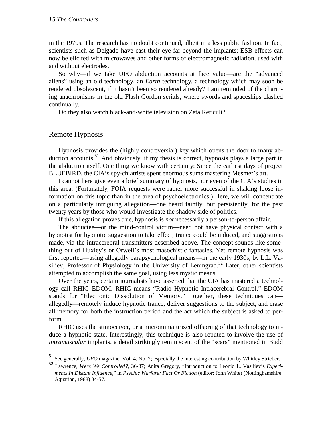in the 1970s. The research has no doubt continued, albeit in a less public fashion. In fact, scientists such as Delgado have cast their eye far beyond the implants; ESB effects can now be elicited with microwaves and other forms of electromagnetic radiation, used with and without electrodes.

So why—if we take UFO abduction accounts at face value—are the "advanced aliens" using an old technology, an *Earth* technology, a technology which may soon be rendered obsolescent, if it hasn't been so rendered already? I am reminded of the charming anachronisms in the old Flash Gordon serials, where swords and spaceships clashed continually.

Do they also watch black-and-white television on Zeta Reticuli?

## Remote Hypnosis

 $\overline{a}$ 

Hypnosis provides the (highly controversial) key which opens the door to many abduction accounts.<sup>51</sup> And obviously, if my thesis is correct, hypnosis plays a large part in the abduction itself. One thing we know with certainty: Since the earliest days of project BLUEBIRD, the CIA's spy-chiatrists spent enormous sums mastering Mesmer's art.

I cannot here give even a brief summary of hypnosis, nor even of the CIA's studies in this area. (Fortunately, FOIA requests were rather more successful in shaking loose information on this topic than in the area of psychoelectronics.) Here, we will concentrate on a particularly intriguing allegation—one heard faintly, but persistently, for the past twenty years by those who would investigate the shadow side of politics.

If this allegation proves true, hypnosis is *not* necessarily a person-to-person affair.

The abductee—or the mind-control victim—need not have physical contact with a hypnotist for hypnotic suggestion to take effect; trance could be induced, and suggestions made, via the intracerebral transmitters described above. The concept sounds like something out of Huxley's or Orwell's most masochistic fantasies. Yet remote hypnosis was first reported—using allegedly parapsychological means—in the early 1930s, by L.L. Vasiliev, Professor of Physiology in the University of Leningrad.<sup>52</sup> Later, other scientists attempted to accomplish the same goal, using less mystic means.

Over the years, certain journalists have asserted that the CIA has mastered a technology call RHIC–EDOM. RHIC means "Radio Hypnotic Intracerebral Control." EDOM stands for "Electronic Dissolution of Memory." Together, these techniques can allegedly—remotely induce hypnotic trance, deliver suggestions to the subject, and erase all memory for both the instruction period and the act which the subject is asked to perform.

RHIC uses the stimoceiver, or a microminiaturized offspring of that technology to induce a hypnotic state. Interestingly, this technique is also reputed to involve the use of *intramuscular* implants, a detail strikingly reminiscent of the "scars" mentioned in Budd

<sup>51</sup> See generally, *UFO* magazine, Vol. 4, No. 2; especially the interesting contribution by Whitley Strieber.

<sup>52</sup> Lawrence, *Were We Controlled?,* 36-37; Anita Gregory, "Introduction to Leonid L. Vasiliev's *Experiments In Distant Influence,*" in *Psychic Warfare: Fact Or Fiction* (editor: John White) (Nottinghamshire: Aquarian, 1988) 34-57.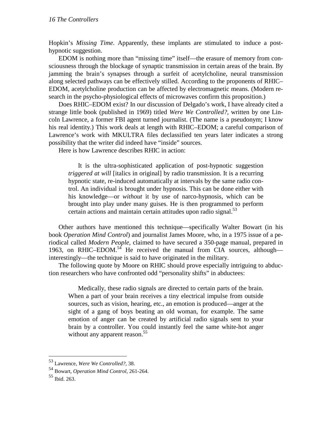Hopkin's *Missing Time*. Apparently, these implants are stimulated to induce a posthypnotic suggestion.

EDOM is nothing more than "missing time" itself—the erasure of memory from consciousness through the blockage of synaptic transmission in certain areas of the brain. By jamming the brain's synapses through a surfeit of acetylcholine, neural transmission along selected pathways can be effectively stilled. According to the proponents of RHIC– EDOM, acetylcholine production can be affected by electromagnetic means. (Modern research in the psycho-physiological effects of microwaves confirm this proposition.)

Does RHIC–EDOM exist? In our discussion of Delgado's work, I have already cited a strange little book (published in 1969) titled *Were We Controlled?,* written by one Lincoln Lawrence, a former FBI agent turned journalist. (The name is a pseudonym; I know his real identity.) This work deals at length with RHIC–EDOM; a careful comparison of Lawrence's work with MKULTRA files declassified ten years later indicates a strong possibility that the writer did indeed have "inside" sources.

Here is how Lawrence describes RHIC in action:

It is the ultra-sophisticated application of post-hypnotic suggestion *triggered at will* [italics in original] by radio transmission. It is a recurring hypnotic state, re-induced automatically at intervals by the same radio control. An individual is brought under hypnosis. This can be done either with his knowledge—or *without* it by use of narco-hypnosis, which can be brought into play under many guises. He is then programmed to perform certain actions and maintain certain attitudes upon radio signal.<sup>53</sup>

Other authors have mentioned this technique—specifically Walter Bowart (in his book *Operation Mind Control*) and journalist James Moore, who, in a 1975 issue of a periodical called *Modern People,* claimed to have secured a 350-page manual, prepared in 1963, on RHIC–EDOM.<sup>54</sup> He received the manual from CIA sources, although interestingly—the technique is said to have originated in the military.

The following quote by Moore on RHIC should prove especially intriguing to abduction researchers who have confronted odd "personality shifts" in abductees:

Medically, these radio signals are directed to certain parts of the brain. When a part of your brain receives a tiny electrical impulse from outside sources, such as vision, hearing, etc., an emotion is produced—anger at the sight of a gang of boys beating an old woman, for example. The same emotion of anger can be created by artificial radio signals sent to your brain by a controller. You could instantly feel the same white-hot anger without any apparent reason.<sup>55</sup>

 $\overline{a}$ 

<sup>53</sup> Lawrence, *Were We Controlled?,* 38.

<sup>54</sup> Bowart, *Operation Mind Control,* 261-264.

<sup>55</sup> Ibid. 263.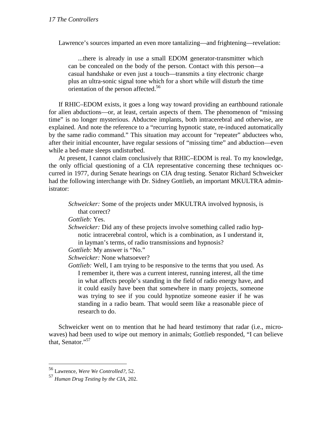Lawrence's sources imparted an even more tantalizing—and frightening—revelation:

...there is already in use a small EDOM generator-transmitter which can be concealed on the body of the person. Contact with this person—a casual handshake or even just a touch—transmits a tiny electronic charge plus an ultra-sonic signal tone which for a short while will disturb the time orientation of the person affected.<sup>56</sup>

If RHIC–EDOM exists, it goes a long way toward providing an earthbound rationale for alien abductions—or, at least, certain aspects of them. The phenomenon of "missing time" is no longer mysterious. Abductee implants, both intracerebral and otherwise, are explained. And note the reference to a "recurring hypnotic state, re-induced automatically by the same radio command." This situation may account for "repeater" abductees who, after their initial encounter, have regular sessions of "missing time" and abduction—even while a bed-mate sleeps undisturbed.

At present, I cannot claim conclusively that RHIC–EDOM is real. To my knowledge, the only official questioning of a CIA representative concerning these techniques occurred in 1977, during Senate hearings on CIA drug testing. Senator Richard Schweicker had the following interchange with Dr. Sidney Gottlieb, an important MKULTRA administrator:

*Schweicker:* Some of the projects under MKULTRA involved hypnosis, is that correct?

*Gottlieb:* Yes.

*Schweicker:* Did any of these projects involve something called radio hypnotic intracerebral control, which is a combination, as I understand it, in layman's terms, of radio transmissions and hypnosis?

*Gottlieb:* My answer is "No."

*Schweicker:* None whatsoever?

*Gottlieb:* Well, I am trying to be responsive to the terms that you used. As I remember it, there was a current interest, running interest, all the time in what affects people's standing in the field of radio energy have, and it could easily have been that somewhere in many projects, someone was trying to see if you could hypnotize someone easier if he was standing in a radio beam. That would seem like a reasonable piece of research to do.

Schweicker went on to mention that he had heard testimony that radar (i.e., microwaves) had been used to wipe out memory in animals; Gottlieb responded, "I can believe that, Senator."<sup>57</sup>

<sup>56</sup> Lawrence, *Were We Controlled?,* 52.

<sup>57</sup> *Human Drug Testing by the CIA,* 202.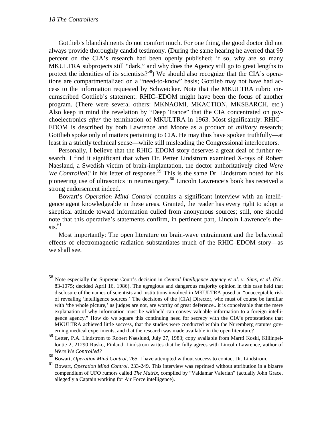$\overline{a}$ 

Gottlieb's blandishments do not comfort much. For one thing, the good doctor did not always provide thoroughly candid testimony. (During the same hearing he averred that 99 percent on the CIA's research had been openly published; if so, why are so many MKULTRA subprojects still "dark," and why does the Agency still go to great lengths to protect the identities of its scientists?<sup>58</sup>) We should also recognize that the CIA's operations are compartmentalized on a "need-to-know" basis; Gottlieb may not have had access to the information requested by Schweicker. Note that the MKULTRA rubric circumscribed Gottlieb's statement: RHIC–EDOM might have been the focus of another program. (There were several others: MKNAOMI, MKACTION, MKSEARCH, etc.) Also keep in mind the revelation by "Deep Trance" that the CIA concentrated on psychoelectronics *after* the termination of MKULTRA in 1963. Most significantly: RHIC– EDOM is described by both Lawrence and Moore as a product of *military* research; Gottlieb spoke only of matters pertaining to CIA. He may thus have spoken truthfully—at least in a strictly technical sense—while still misleading the Congressional interlocutors.

Personally, I believe that the RHIC–EDOM story deserves a great deal of further research. I find it significant that when Dr. Petter Lindstrom examined X-rays of Robert Naesland, a Swedish victim of brain-implantation, the doctor authoritatively cited *Were We Controlled?* in his letter of response.<sup>59</sup> This is the same Dr. Lindstrom noted for his pioneering use of ultrasonics in neurosurgery.<sup>60</sup> Lincoln Lawrence's book has received a strong endorsement indeed.

Bowart's *Operation Mind Control* contains a significant interview with an intelligence agent knowledgeable in these areas. Granted, the reader has every right to adopt a skeptical attitude toward information culled from anonymous sources; still, one should note that this operative's statements confirm, in pertinent part, Lincoln Lawrence's the- $\sin^{61}$ 

Most importantly: The open literature on brain-wave entrainment and the behavioral effects of electromagnetic radiation substantiates much of the RHIC–EDOM story—as we shall see.

<sup>58</sup> Note especially the Supreme Court's decision in *Central Intelligence Agency et al*. *v*. *Sims, et al*. (No. 83-1075; decided April 16, 1986). The egregious and dangerous majority opinion in this case held that disclosure of the names of scientists and institutions involved in MKULTRA posed an "unacceptable risk of revealing 'intelligence sources.' The decisions of the [CIA] Director, who must of course be familiar with 'the whole picture,' as judges are not, are worthy of great deference...it is conceivable that the mere explanation of why information must be withheld can convey valuable information to a foreign intelligence agency." How do we square this continuing need for secrecy with the CIA's protestations that MKULTRA achieved little success, that the studies were conducted within the Nuremberg statutes governing medical experiments, and that the research was made available in the open literature?

<sup>59</sup> Letter, P.A. Lindstrom to Robert Naeslund, July 27, 1983; copy available from Martti Koski, Kiilinpellontie 2, 21290 Rusko, Finland. Lindstrom writes that he fully agrees with Lincoln Lawrence, author of *Were We Controlled?*

<sup>60</sup> Bowart, *Operation Mind Control,* 265. I have attempted without success to contact Dr. Lindstrom.

<sup>61</sup> Bowart, *Operation Mind Control,* 233-249. This interview was reprinted without attribution in a bizarre compendium of UFO rumors called *The Matrix,* compiled by "Valdamar Valerian" (actually John Grace, allegedly a Captain working for Air Force intelligence).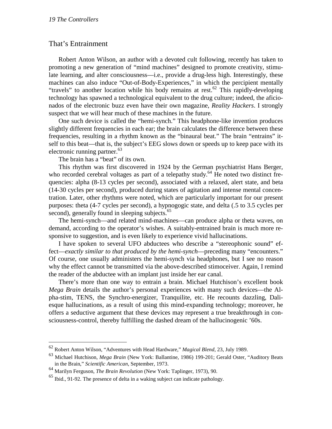$\overline{a}$ 

## That's Entrainment

Robert Anton Wilson, an author with a devoted cult following, recently has taken to promoting a new generation of "mind machines" designed to promote creativity, stimulate learning, and alter consciousness—i.e., provide a drug-less high. Interestingly, these machines can also induce "Out-of-Body-Experiences," in which the percipient mentally "travels" to another location while his body remains at rest.<sup>62</sup> This rapidly-developing technology has spawned a technological equivalent to the drug culture; indeed, the aficionados of the electronic buzz even have their own magazine, *Reality Hackers*. I strongly suspect that we will hear much of these machines in the future.

One such device is called the "hemi-synch." This headphone-like invention produces slightly different frequencies in each ear; the brain calculates the difference between these frequencies, resulting in a rhythm known as the "binaural beat." The brain "entrains" itself to this beat—that is, the subject's EEG slows down or speeds up to keep pace with its electronic running partner. $63$ 

The brain has a "beat" of its own.

This rhythm was first discovered in 1924 by the German psychiatrist Hans Berger, who recorded cerebral voltages as part of a telepathy study.<sup>64</sup> He noted two distinct frequencies: alpha (8-13 cycles per second), associated with a relaxed, alert state, and beta (14-30 cycles per second), produced during states of agitation and intense mental concentration. Later, other rhythms were noted, which are particularly important for our present purposes: theta (4-7 cycles per second), a hypnogogic state, and delta (.5 to 3.5 cycles per second), generally found in sleeping subjects.<sup>65</sup>

The hemi-synch—and related mind-machines—can produce alpha or theta waves, on demand, according to the operator's wishes. A suitably-entrained brain is much more responsive to suggestion, and is even likely to experience vivid hallucinations.

I have spoken to several UFO abductees who describe a "stereophonic sound" effect—*exactly similar to that produced by the hemi-synch*—preceding many "encounters." Of course, one usually administers the hemi-synch via headphones, but I see no reason why the effect cannot be transmitted via the above-described stimoceiver. Again, I remind the reader of the abductee with an implant just inside her ear canal.

There's more than one way to entrain a brain. Michael Hutchison's excellent book *Mega Brain* details the author's personal experiences with many such devices—the Alpha-stim, TENS, the Synchro-energizer, Tranquilite, etc. He recounts dazzling, Daliesque hallucinations, as a result of using this mind-expanding technology; moreover, he offers a seductive argument that these devices may represent a true breakthrough in consciousness-control, thereby fulfilling the dashed dream of the hallucinogenic '60s.

<sup>62</sup> Robert Anton Wilson, "Adventures with Head Hardware," *Magical Blend,* 23, July 1989.

<sup>63</sup> Michael Hutchison, *Mega Brain* (New York: Ballantine, 1986) 199-201; Gerald Oster, "Auditory Beats in the Brain," *Scientific American,* September, 1973.

<sup>64</sup> Marilyn Ferguson, *The Brain Revolution* (New York: Taplinger, 1973), 90.

 $65$  Ibid., 91-92. The presence of delta in a waking subject can indicate pathology.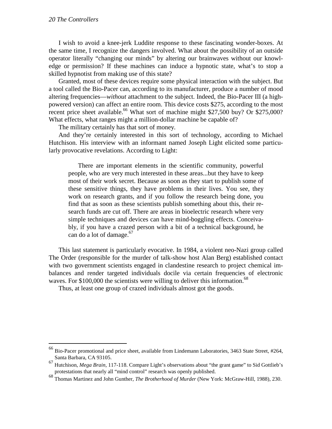<u>.</u>

I wish to avoid a knee-jerk Luddite response to these fascinating wonder-boxes. At the same time, I recognize the dangers involved. What about the possibility of an outside operator literally "changing our minds" by altering our brainwaves without our knowledge or permission? If these machines can induce a hypnotic state, what's to stop a skilled hypnotist from making use of this state?

Granted, most of these devices require some physical interaction with the subject. But a tool called the Bio-Pacer can, according to its manufacturer, produce a number of mood altering frequencies—*without* attachment to the subject. Indeed, the Bio-Pacer III (a highpowered version) can affect an entire room. This device costs \$275, according to the most recent price sheet available.<sup>66</sup> What sort of machine might \$27,500 buy? Or \$275,000? What effects, what ranges might a million-dollar machine be capable of?

The military certainly has that sort of money.

And they're certainly interested in this sort of technology, according to Michael Hutchison. His interview with an informant named Joseph Light elicited some particularly provocative revelations. According to Light:

There are important elements in the scientific community, powerful people, who are very much interested in these areas...but they have to keep most of their work secret. Because as soon as they start to publish some of these sensitive things, they have problems in their lives. You see, they work on research grants, and if you follow the research being done, you find that as soon as these scientists publish something about this, their research funds are cut off. There are areas in bioelectric research where very simple techniques and devices can have mind-boggling effects. Conceivably, if you have a crazed person with a bit of a technical background, he can do a lot of damage.<sup>67</sup>

This last statement is particularly evocative. In 1984, a violent neo-Nazi group called The Order (responsible for the murder of talk-show host Alan Berg) established contact with two government scientists engaged in clandestine research to project chemical imbalances and render targeted individuals docile via certain frequencies of electronic waves. For \$100,000 the scientists were willing to deliver this information.<sup>68</sup>

Thus, at least one group of crazed individuals almost got the goods.

<sup>&</sup>lt;sup>66</sup> Bio-Pacer promotional and price sheet, available from Lindemann Laboratories, 3463 State Street, #264, Santa Barbara, CA 93105.

<sup>67</sup> Hutchison, *Mega Brain,* 117-118. Compare Light's observations about "the grant game" to Sid Gottlieb's protestations that nearly all "mind control" research was openly published.

<sup>68</sup> Thomas Martinez and John Gunther, *The Brotherhood of Murder* (New York: McGraw-Hill, 1988), 230.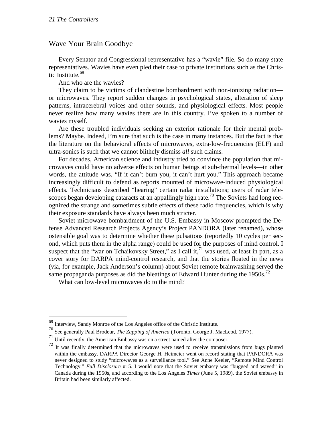### Wave Your Brain Goodbye

Every Senator and Congressional representative has a "wavie" file. So do many state representatives. Wavies have even pled their case to private institutions such as the Christic Institute.<sup>69</sup>

And who are the wavies?

They claim to be victims of clandestine bombardment with non-ionizing radiation or microwaves. They report sudden changes in psychological states, alteration of sleep patterns, intracerebral voices and other sounds, and physiological effects. Most people never realize how many wavies there are in this country. I've spoken to a number of wavies myself.

Are these troubled individuals seeking an exterior rationale for their mental problems? Maybe. Indeed, I'm sure that such is the case in many instances. But the fact is that the literature on the behavioral effects of microwaves, extra-low-frequencies (ELF) and ultra-sonics is such that we cannot blithely dismiss *all* such claims.

For decades, American science and industry tried to convince the population that microwaves could have no adverse effects on human beings at sub-thermal levels—in other words, the attitude was, "If it can't burn you, it can't hurt you." This approach became increasingly difficult to defend as reports mounted of microwave-induced physiological effects. Technicians described "hearing" certain radar installations; users of radar telescopes began developing cataracts at an appallingly high rate.<sup>70</sup> The Soviets had long recognized the strange and sometimes subtle effects of these radio frequencies, which is why their exposure standards have always been much stricter.

Soviet microwave bombardment of the U.S. Embassy in Moscow prompted the Defense Advanced Research Projects Agency's Project PANDORA (later renamed), whose ostensible goal was to determine whether these pulsations (reportedly 10 cycles per second, which puts them in the alpha range) could be used for the purposes of mind control. I suspect that the "war on Tchaikovsky Street," as I call it, $^{71}$  was used, at least in part, as a cover story for DARPA mind-control research, and that the stories floated in the news (via, for example, Jack Anderson's column) about Soviet remote brainwashing served the same propaganda purposes as did the bleatings of Edward Hunter during the  $1950s$ .<sup>72</sup>

What can low-level microwaves do to the mind?

<sup>&</sup>lt;sup>69</sup> Interview, Sandy Monroe of the Los Angeles office of the Christic Institute.

<sup>70</sup> See generally Paul Brodeur, *The Zapping of America* (Toronto, George J. MacLeod, 1977).

 $71$  Until recently, the American Embassy was on a street named after the composer.

 $72$  It was finally determined that the microwaves were used to receive transmissions from bugs planted within the embassy. DARPA Director George H. Heimeier went on record stating that PANDORA was never designed to study "microwaves as a surveillance tool." See Anne Keeler, "Remote Mind Control Technology," *Full Disclosure* #15. I would note that the Soviet embassy was "bugged and waved" in Canada during the 1950s, and according to the Los Angeles *Times* (June 5, 1989), the Soviet embassy in Britain had been similarly affected.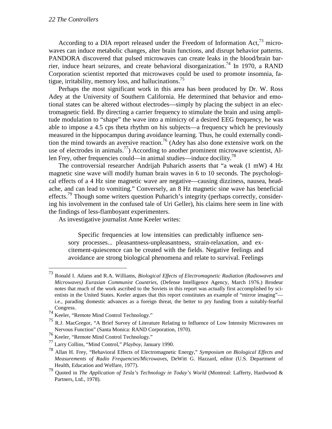According to a DIA report released under the Freedom of Information Act,  $^{73}$  microwaves can induce metabolic changes, alter brain functions, and disrupt behavior patterns. PANDORA discovered that pulsed microwaves can create leaks in the blood/brain barrier, induce heart seizures, and create behavioral disorganization.<sup>74</sup> In 1970, a RAND Corporation scientist reported that microwaves could be used to promote insomnia, fatigue, irritability, memory loss, and hallucinations.<sup>75</sup>

Perhaps the most significant work in this area has been produced by Dr. W. Ross Adey at the University of Southern California. He determined that behavior and emotional states can be altered without electrodes—simply by placing the subject in an electromagnetic field. By directing a carrier frequency to stimulate the brain and using amplitude modulation to "shape" the wave into a mimicry of a desired EEG frequency, he was able to impose a 4.5 cps theta rhythm on his subjects—a frequency which he previously measured in the hippocampus during avoidance learning. Thus, he could externally condition the mind towards an aversive reaction.<sup>76</sup> (Adey has also done extensive work on the use of electrodes in animals.<sup>77</sup>) According to another prominent microwave scientist, Allen Frey, other frequencies could—in animal studies—induce docility.<sup>78</sup>

The controversial researcher Andrijah Puharich asserts that "a weak (1 mW) 4 Hz magnetic sine wave will modify human brain waves in 6 to 10 seconds. The psychological effects of a 4 Hz sine magnetic wave are negative—causing dizziness, nausea, headache, and can lead to vomiting." Conversely, an 8 Hz magnetic sine wave has beneficial effects.<sup>79</sup> Though some writers question Puharich's integrity (perhaps correctly, considering his involvement in the confused tale of Uri Geller), his claims here seem in line with the findings of less-flamboyant experimenters.

As investigative journalist Anne Keeler writes:

Specific frequencies at low intensities can predictably influence sensory processes... pleasantness-unpleasantness, strain-relaxation, and excitement-quiescence can be created with the fields. Negative feelings and avoidance are strong biological phenomena and relate to survival. Feelings

-

<sup>73</sup> Ronald I. Adams and R.A. Williams, *Biological Effects of Electromagnetic Radiation (Radiowaves and Microwaves) Eurasian Communist Countries,* (Defense Intelligence Agency, March 1976.) Brodeur notes that much of the work ascribed to the Soviets in this report was actually first accomplished by scientists in the United States. Keeler argues that this report constitutes an example of "mirror imaging" i.e., parading domestic advances as a foreign threat, the better to pry funding from a suitably-fearful Congress.

<sup>74</sup> Keeler, "Remote Mind Control Technology."

<sup>75</sup> R.J. MacGregor, "A Brief Survey of Literature Relating to Influence of Low Intensity Microwaves on Nervous Function" (Santa Monica: RAND Corporation, 1970).

<sup>76</sup> Keeler, "Remote Mind Control Technology."

<sup>77</sup> Larry Collins, "Mind Control," *Playboy,* January 1990.

<sup>78</sup> Allan H. Frey, "Behavioral Effects of Electromagnetic Energy," *Symposium on Biological Effects and Measurements of Radio Frequencies/Microwaves,* DeWitt G. Hazzard, editor (U.S. Department of Health, Education and Welfare, 1977).

<sup>79</sup> Quoted in *The Application of Tesla's Technology in Today's World* (Montreal: Lafferty, Hardwood & Partners, Ltd., 1978).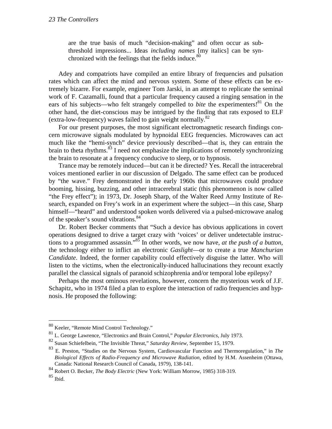are the true basis of much "decision-making" and often occur as subthreshold impressions... Ideas *including names* [my italics] can be synchronized with the feelings that the fields induce. $80$ 

Adey and compatriots have compiled an entire library of frequencies and pulsation rates which can affect the mind and nervous system. Some of these effects can be extremely bizarre. For example, engineer Tom Jarski, in an attempt to replicate the seminal work of F. Cazamalli, found that a particular frequency caused a ringing sensation in the ears of his subjects—who felt strangely compelled to *bite* the experimenters!<sup>81</sup> On the other hand, the diet-conscious may be intrigued by the finding that rats exposed to ELF (extra-low-frequency) waves failed to gain weight normally.  $82$ 

For our present purposes, the most significant electromagnetic research findings concern microwave signals modulated by hypnoidal EEG frequencies. Microwaves can act much like the "hemi-synch" device previously described—that is, they can entrain the brain to theta rhythms.<sup>83</sup> I need not emphasize the implications of remotely synchronizing the brain to resonate at a frequency conducive to sleep, or to hypnosis.

Trance may be remotely induced—but can it be directed? Yes. Recall the intracerebral voices mentioned earlier in our discussion of Delgado. The same effect can be produced by "the wave." Frey demonstrated in the early 1960s that microwaves could produce booming, hissing, buzzing, and other intracerebral static (this phenomenon is now called "the Frey effect"); in 1973, Dr. Joseph Sharp, of the Walter Reed Army Institute of Research, expanded on Frey's work in an experiment where the subject—in this case, Sharp himself—"heard" and understood spoken words delivered via a pulsed-microwave analog of the speaker's sound vibrations.<sup>84</sup>

Dr. Robert Becker comments that "Such a device has obvious applications in covert operations designed to drive a target crazy with 'voices' or deliver undetectable instructions to a programmed assassin."<sup>85</sup> In other words, we now have, *at the push of a button,* the technology either to inflict an electronic *Gaslight*—or to create a true *Manchurian Candidate*. Indeed, the former capability could effectively disguise the latter. Who will listen to the victims, when the electronically-induced hallucinations they recount exactly parallel the classical signals of paranoid schizophrenia and/or temporal lobe epilepsy?

Perhaps the most ominous revelations, however, concern the mysterious work of J.F. Schapitz, who in 1974 filed a plan to explore the interaction of radio frequencies and hypnosis. He proposed the following:

<sup>80</sup> Keeler, "Remote Mind Control Technology."

<sup>81</sup> L. George Lawrence, "Electronics and Brain Control," *Popular Electronics,* July 1973.

<sup>82</sup> Susan Schiefelbein, "The Invisible Threat," *Saturday Review,* September 15, 1979.

<sup>83</sup> E. Preston, "Studies on the Nervous System, Cardiovascular Function and Thermoregulation," in *The Biological Effects of Radio-Frequency and Microwave Radiation,* edited by H.M. Assenheim (Ottawa, Canada: National Research Council of Canada, 1979), 138-141.

<sup>84</sup> Robert O. Becker, *The Body Electric* (New York: William Morrow, 1985) 318-319.

<sup>85</sup> Ibid.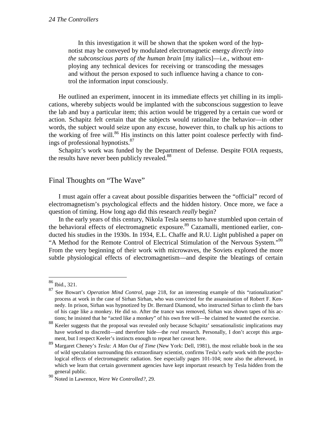In this investigation it will be shown that the spoken word of the hypnotist may be conveyed by modulated electromagnetic energy *directly into the subconscious parts of the human brain* [my italics]—i.e., without employing any technical devices for receiving or transcoding the messages and without the person exposed to such influence having a chance to control the information input consciously.

He outlined an experiment, innocent in its immediate effects yet chilling in its implications, whereby subjects would be implanted with the subconscious suggestion to leave the lab and buy a particular item; this action would be triggered by a certain cue word or action. Schapitz felt certain that the subjects would rationalize the behavior—in other words, the subject would seize upon any excuse, however thin, to chalk up his actions to the working of free will.<sup>86</sup> His instincts on this latter point coalesce perfectly with findings of professional hypnotists.<sup>87</sup>

Schapitz's work was funded by the Department of Defense. Despite FOIA requests, the results have never been publicly revealed.<sup>88</sup>

## Final Thoughts on "The Wave"

I must again offer a caveat about possible disparities between the "official" record of electromagnetism's psychological effects and the hidden history. Once more, we face a question of timing. How long ago did this research *really* begin?

In the early years of this century, Nikola Tesla seems to have stumbled upon certain of the behavioral effects of electromagnetic exposure.<sup>89</sup> Cazamalli, mentioned earlier, conducted his studies in the 1930s. In 1934, E.L. Chaffe and R.U. Light published a paper on "A Method for the Remote Control of Electrical Stimulation of the Nervous System."<sup>90</sup> From the very beginning of their work with microwaves, the Soviets explored the more subtle physiological effects of electromagnetism—and despite the bleatings of certain

<sup>86</sup> Ibid., 321.

<sup>&</sup>lt;sup>87</sup> See Bowart's *Operation Mind Control*, page 218, for an interesting example of this "rationalization" process at work in the case of Sirhan Sirhan, who was convicted for the assassination of Robert F. Kennedy. In prison, Sirhan was hypnotized by Dr. Bernard Diamond, who instructed Sirhan to climb the bars of his cage like a monkey. He did so. After the trance was removed, Sirhan was shown tapes of his actions; he insisted that he "acted like a monkey" of his own free will—he claimed he wanted the exercise.

<sup>88</sup> Keeler suggests that the proposal was revealed only because Schapitz' sensationalistic implications may have worked to discredit—and therefore hide—the *real* research. Personally, I don't accept this argument, but I respect Keeler's instincts enough to repeat her caveat here.

<sup>89</sup> Margaret Cheney's *Tesla: A Man Out of Time* (New York: Dell, 1981), the most reliable book in the sea of wild speculation surrounding this extraordinary scientist, confirms Tesla's early work with the psychological effects of electromagnetic radiation. See especially pages 101-104; note also the afterword, in which we learn that certain government agencies have kept important research by Tesla hidden from the general public.

<sup>90</sup> Noted in Lawrence, *Were We Controlled?,* 29.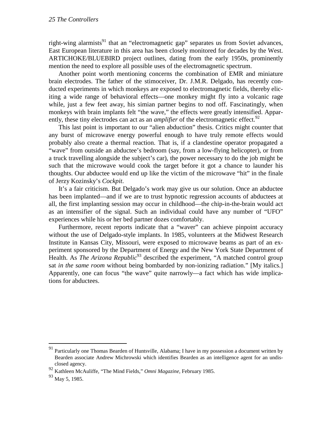right-wing alarmists<sup>91</sup> that an "electromagnetic gap" separates us from Soviet advances, East European literature in this area has been closely monitored for decades by the West. ARTICHOKE/BLUEBIRD project outlines, dating from the early 1950s, prominently mention the need to explore all possible uses of the electromagnetic spectrum.

Another point worth mentioning concerns the combination of EMR and miniature brain electrodes. The father of the stimoceiver, Dr. J.M.R. Delgado, has recently conducted experiments in which monkeys are exposed to electromagnetic fields, thereby eliciting a wide range of behavioral effects—one monkey might fly into a volcanic rage while, just a few feet away, his simian partner begins to nod off. Fascinatingly, when monkeys with brain implants felt "the wave," the effects were greatly intensified. Apparently, these tiny electrodes can act as an *amplifier* of the electromagnetic effect.<sup>92</sup>

This last point is important to our "alien abduction" thesis. Critics might counter that any burst of microwave energy powerful enough to have truly remote effects would probably also create a thermal reaction. That is, if a clandestine operator propagated a "wave" from outside an abductee's bedroom (say, from a low-flying helicopter), or from a truck travelling alongside the subject's car), the power necessary to do the job might be such that the microwave would cook the target before it got a chance to launder his thoughts. Our abductee would end up like the victim of the microwave "hit" in the finale of Jerzy Kozinsky's *Cockpit*.

It's a fair criticism. But Delgado's work may give us our solution. Once an abductee has been implanted—and if we are to trust hypnotic regression accounts of abductees at all, the first implanting session may occur in childhood—the chip-in-the-brain would act as an intensifier of the signal. Such an individual could have any number of "UFO" experiences while his or her bed partner dozes comfortably.

Furthermore, recent reports indicate that a "waver" can achieve pinpoint accuracy without the use of Delgado-style implants. In 1985, volunteers at the Midwest Research Institute in Kansas City, Missouri, were exposed to microwave beams as part of an experiment sponsored by the Department of Energy and the New York State Department of Health. As *The Arizona Republic*<sup>93</sup> described the experiment, "A matched control group sat *in the same room* without being bombarded by non-ionizing radiation." [My italics.] Apparently, one can focus "the wave" quite narrowly—a fact which has wide implications for abductees.

<sup>91</sup> Particularly one Thomas Bearden of Huntsville, Alabama; I have in my possession a document written by Bearden associate Andrew Michrowski which identifies Bearden as an intelligence agent for an undisclosed agency.

<sup>92</sup> Kathleen McAuliffe, "The Mind Fields," *Omni Magazine,* February 1985.

<sup>&</sup>lt;sup>93</sup> May 5, 1985.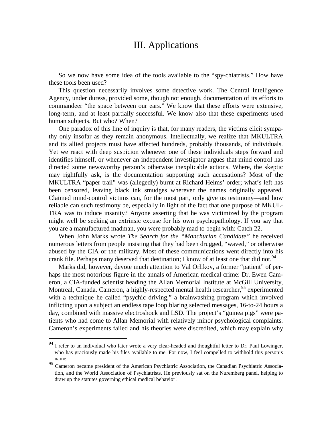# III. Applications

So we now have some idea of the tools available to the "spy-chiatrists." How have these tools been used?

This question necessarily involves some detective work. The Central Intelligence Agency, under duress, provided some, though not enough, documentation of its efforts to commandeer "the space between our ears." We know that these efforts were extensive, long-term, and at least partially successful. We know also that these experiments used human subjects. But who? When?

One paradox of this line of inquiry is that, for many readers, the victims elicit sympathy only insofar as they remain anonymous. Intellectually, we realize that MKULTRA and its allied projects must have affected hundreds, probably thousands, of individuals. Yet we react with deep suspicion whenever one of these individuals steps forward and identifies himself, or whenever an independent investigator argues that mind control has directed some newsworthy person's otherwise inexplicable actions. Where, the skeptic may rightfully ask, is the documentation supporting such accusations? Most of the MKULTRA "paper trail" was (allegedly) burnt at Richard Helms' order; what's left has been censored, leaving black ink smudges wherever the names originally appeared. Claimed mind-control victims can, for the most part, only give us testimony—and how reliable can such testimony be, especially in light of the fact that one purpose of MKUL-TRA was to induce insanity? Anyone asserting that he was victimized by the program might well be seeking an extrinsic excuse for his own psychopathology. If you say that you are a manufactured madman, you were probably mad to begin with: Catch 22.

When John Marks wrote *The Search for the "Manchurian Candidate"* he received numerous letters from people insisting that they had been drugged, "waved," or otherwise abused by the CIA or the military. Most of these communications went directly into his crank file. Perhaps many deserved that destination; I know of at least one that did not.<sup>94</sup>

Marks did, however, devote much attention to Val Orlikov, a former "patient" of perhaps the most notorious figure in the annals of American medical crime: Dr. Ewen Cameron, a CIA-funded scientist heading the Allan Memorial Institute at McGill University, Montreal, Canada. Cameron, a highly-respected mental health researcher,<sup>95</sup> experimented with a technique he called "psychic driving," a brainwashing program which involved inflicting upon a subject an endless tape loop blaring selected messages, 16-to-24 hours a day, combined with massive electroshock and LSD. The project's "guinea pigs" were patients who had come to Allan Memorial with relatively minor psychological complaints. Cameron's experiments failed and his theories were discredited, which may explain why

 $\overline{a}$ 

 $94$  I refer to an individual who later wrote a very clear-headed and thoughtful letter to Dr. Paul Lowinger, who has graciously made his files available to me. For now, I feel compelled to withhold this person's name.

<sup>95</sup> Cameron became president of the American Psychiatric Association, the Canadian Psychiatric Association, and the World Association of Psychiatrists. He previously sat on the Nuremberg panel, helping to draw up the statutes governing ethical medical behavior!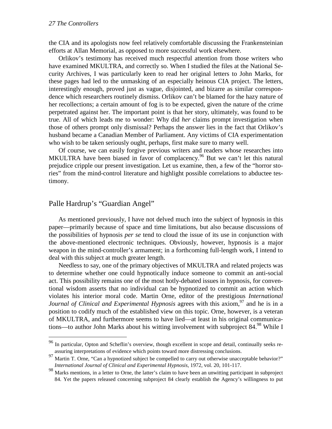the CIA and its apologists now feel relatively comfortable discussing the Frankensteinian efforts at Allan Memorial, as opposed to more successful work elsewhere.

Orlikov's testimony has received much respectful attention from those writers who have examined MKULTRA, and correctly so. When I studied the files at the National Security Archives, I was particularly keen to read her original letters to John Marks, for these pages had led to the unmasking of an especially heinous CIA project. The letters, interestingly enough, proved just as vague, disjointed, and bizarre as similar correspondence which researchers routinely dismiss. Orlikov can't be blamed for the hazy nature of her recollections; a certain amount of fog is to be expected, given the nature of the crime perpetrated against her. The important point is that her story, ultimately, was found to be true. All of which leads me to wonder: Why did *her* claims prompt investigation when those of others prompt only dismissal? Perhaps the answer lies in the fact that Orlikov's husband became a Canadian Member of Parliament. Any victims of CIA experimentation who wish to be taken seriously ought, perhaps, first make sure to marry well.

Of course, we can easily forgive previous writers and readers whose researches into MKULTRA have been biased in favor of complacency.<sup>96</sup> But we can't let this natural prejudice cripple our present investigation. Let us examine, then, a few of the "horror stories" from the mind-control literature and highlight possible correlations to abductee testimony.

## Palle Hardrup's "Guardian Angel"

 $\overline{a}$ 

As mentioned previously, I have not delved much into the subject of hypnosis in this paper—primarily because of space and time limitations, but also because discussions of the possibilities of hypnosis *per se* tend to cloud the issue of its use in conjunction with the above-mentioned electronic techniques. Obviously, however, hypnosis is a major weapon in the mind-controller's armament; in a forthcoming full-length work, I intend to deal with this subject at much greater length.

Needless to say, one of the primary objectives of MKULTRA and related projects was to determine whether one could hypnotically induce someone to commit an anti-social act. This possibility remains one of the most hotly-debated issues in hypnosis, for conventional wisdom asserts that no individual can be hypnotized to commit an action which violates his interior moral code. Martin Orne, editor of the prestigious *International Journal of Clinical and Experimental Hypnosis* agrees with this axiom,<sup>97</sup> and he is in a position to codify much of the established view on this topic. Orne, however, is a veteran of MKULTRA, and furthermore seems to have lied—at least in his original communications—to author John Marks about his witting involvement with subproject  $84.98$  While I

<sup>&</sup>lt;sup>96</sup> In particular, Opton and Scheflin's overview, though excellent in scope and detail, continually seeks reassuring interpretations of evidence which points toward more distressing conclusions.

<sup>97</sup> Martin T. Orne, "Can a hypnotized subject be compelled to carry out otherwise unacceptable behavior?" *International Journal of Clinical and Experimental Hypnosis,* 1972, vol. 20, 101-117.

<sup>98</sup> Marks mentions, in a letter to Orne, the latter's claim to have been an unwitting participant in subproject 84. Yet the papers released concerning subproject 84 clearly establish the Agency's willingness to put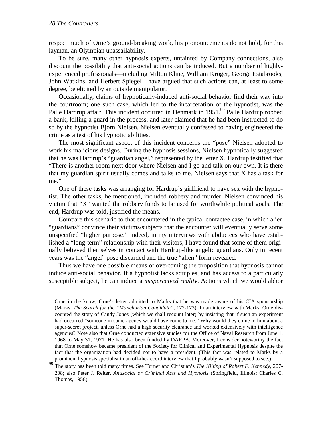$\overline{a}$ 

respect much of Orne's ground-breaking work, his pronouncements do not hold, for this layman, an Olympian unassailability.

To be sure, many other hypnosis experts, untainted by Company connections, also discount the possibility that anti-social actions can be induced. But a number of highlyexperienced professionals—including Milton Kline, William Kroger, George Estabrooks, John Watkins, and Herbert Spiegel—have argued that such actions can, at least to some degree, be elicited by an outside manipulator.

Occasionally, claims of hypnotically-induced anti-social behavior find their way into the courtroom; one such case, which led to the incarceration of the hypnotist, was the Palle Hardrup affair. This incident occurred in Denmark in 1951.<sup>99</sup> Palle Hardrup robbed a bank, killing a guard in the process, and later claimed that he had been instructed to do so by the hypnotist Bjorn Nielsen. Nielsen eventually confessed to having engineered the crime as a test of his hypnotic abilities.

The most significant aspect of this incident concerns the "pose" Nielsen adopted to work his malicious designs. During the hypnosis sessions, Nielsen hypnotically suggested that he was Hardrup's "guardian angel," represented by the letter X. Hardrup testified that "There is another room next door where Nielsen and I go and talk on our own. It is there that my guardian spirit usually comes and talks to me. Nielsen says that X has a task for me."

One of these tasks was arranging for Hardrup's girlfriend to have sex with the hypnotist. The other tasks, he mentioned, included robbery and murder. Nielsen convinced his victim that "X" wanted the robbery funds to be used for worthwhile political goals. The end, Hardrup was told, justified the means.

Compare this scenario to that encountered in the typical contactee case, in which alien "guardians" convince their victims/subjects that the encounter will eventually serve some unspecified "higher purpose." Indeed, in my interviews with abductees who have established a "long-term" relationship with their visitors, I have found that some of them originally believed themselves in contact with Hardrup-like angelic guardians. Only in recent years was the "angel" pose discarded and the true "alien" form revealed.

Thus we have one possible means of overcoming the proposition that hypnosis cannot induce anti-social behavior. If a hypnotist lacks scruples, and has access to a particularly susceptible subject, he can induce a *misperceived reality*. Actions which we would abhor

Orne in the know; Orne's letter admitted to Marks that he was made aware of his CIA sponsorship (Marks, *The Search for the "Manchurian Candidate",* 172-173). In an interview with Marks, Orne discounted the story of Candy Jones (which we shall recount later) by insisting that if such an experiment had occurred "someone in some agency would have come to me." Why would they come to him about a super-secret project, unless Orne had a high security clearance and worked extensively with intelligence agencies? Note also that Orne conducted extensive studies for the Office of Naval Research from June 1, 1968 to May 31, 1971. He has also been funded by DARPA. Moreover, I consider noteworthy the fact that Orne somehow became president of the Society for Clinical and Experimental Hypnosis despite the fact that the organization had decided not to have a president. (This fact was related to Marks by a prominent hypnosis specialist in an off-the-record interview that I probably wasn't supposed to see.)

<sup>99</sup> The story has been told many times. See Turner and Christian's *The Killing of Robert F*. *Kennedy,* 207- 208; also Peter J. Reiter, *Antisocial or Criminal Acts and Hypnosis* (Springfield, Illinois: Charles C. Thomas, 1958).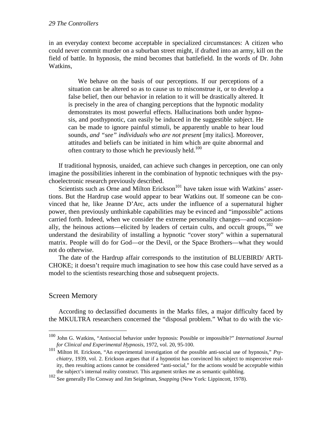in an everyday context become acceptable in specialized circumstances: A citizen who could never commit murder on a suburban street might, if drafted into an army, kill on the field of battle. In hypnosis, the mind becomes that battlefield. In the words of Dr. John Watkins,

We behave on the basis of our perceptions. If our perceptions of a situation can be altered so as to cause us to misconstrue it, or to develop a false belief, then our behavior in relation to it will be drastically altered. It is precisely in the area of changing perceptions that the hypnotic modality demonstrates its most powerful effects. Hallucinations both under hypnosis, and posthypnotic, can easily be induced in the suggestible subject. He can be made to ignore painful stimuli, be apparently unable to hear loud sounds, *and "see" individuals who are not present* [my italics]. Moreover, attitudes and beliefs can be initiated in him which are quite abnormal and often contrary to those which he previously held.<sup>100</sup>

If traditional hypnosis, unaided, can achieve such changes in perception, one can only imagine the possibilities inherent in the combination of hypnotic techniques with the psychoelectronic research previously described.

Scientists such as Orne and Milton Erickson<sup>101</sup> have taken issue with Watkins' assertions. But the Hardrup case would appear to bear Watkins out. If someone can be convinced that he, like Jeanne D'Arc, acts under the influence of a supernatural higher power, then previously unthinkable capabilities may be evinced and "impossible" actions carried forth. Indeed, when we consider the extreme personality changes—and occasionally, the heinous actions—elicited by leaders of certain cults, and occult groups, $102$  we understand the desirability of installing a hypnotic "cover story" within a supernatural matrix. People will do for God—or the Devil, or the Space Brothers—what they would not do otherwise.

The date of the Hardrup affair corresponds to the institution of BLUEBIRD/ ARTI-CHOKE; it doesn't require much imagination to see how this case could have served as a model to the scientists researching those and subsequent projects.

## Screen Memory

 $\overline{a}$ 

According to declassified documents in the Marks files, a major difficulty faced by the MKULTRA researchers concerned the "disposal problem." What to do with the vic-

<sup>100</sup> John G. Watkins, "Antisocial behavior under hypnosis: Possible or impossible?" *International Journal for Clinical and Experimental Hypnosis,* 1972, vol. 20, 95-100.

<sup>101</sup> Milton H. Erickson, "An experimental investigation of the possible anti-social use of hypnosis," *Psychiatry,* 1939, vol. 2. Erickson argues that if a hypnotist has convinced his subject to misperceive reality, then resulting actions cannot be considered "anti-social," for the actions would be acceptable within the subject's internal reality construct. This argument strikes me as semantic quibbling.

<sup>102</sup> See generally Flo Conway and Jim Seigelman, *Snapping* (New York: Lippincott, 1978).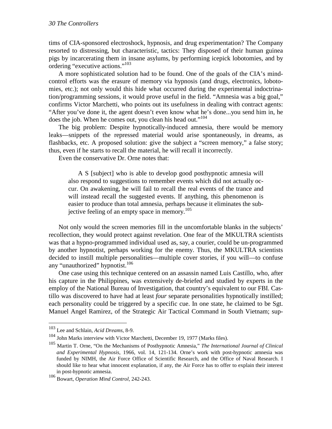tims of CIA-sponsored electroshock, hypnosis, and drug experimentation? The Company resorted to distressing, but characteristic, tactics: They disposed of their human guinea pigs by incarcerating them in insane asylums, by performing icepick lobotomies, and by ordering "executive actions."<sup>103</sup>

A more sophisticated solution had to be found. One of the goals of the CIA's mindcontrol efforts was the erasure of memory via hypnosis (and drugs, electronics, lobotomies, etc.); not only would this hide what occurred during the experimental indoctrination/programming sessions, it would prove useful in the field. "Amnesia was a big goal," confirms Victor Marchetti, who points out its usefulness in dealing with contract agents: "After you've done it, the agent doesn't even know what he's done...you send him in, he does the job. When he comes out, you clean his head out."<sup>104</sup>

The big problem: Despite hypnotically-induced amnesia, there would be memory leaks—snippets of the repressed material would arise spontaneously, in dreams, as flashbacks, etc. A proposed solution: give the subject a "screen memory," a false story; thus, even if he starts to recall the material, he will recall it incorrectly.

Even the conservative Dr. Orne notes that:

A S [subject] who is able to develop good posthypnotic amnesia will also respond to suggestions to remember events which did not actually occur. On awakening, he will fail to recall the real events of the trance and will instead recall the suggested events. If anything, this phenomenon is easier to produce than total amnesia, perhaps because it eliminates the subjective feeling of an empty space in memory.<sup>105</sup>

Not only would the screen memories fill in the uncomfortable blanks in the subjects' recollection, they would protect against revelation. One fear of the MKULTRA scientists was that a hypno-programmed individual used as, say, a courier, could be un-programmed by another hypnotist, perhaps working for the enemy. Thus, the MKULTRA scientists decided to instill multiple personalities—multiple cover stories, if you will—to confuse any "unauthorized" hypnotist.<sup>106</sup>

One case using this technique centered on an assassin named Luis Castillo, who, after his capture in the Philippines, was extensively de-briefed and studied by experts in the employ of the National Bureau of Investigation, that country's equivalent to our FBI. Castillo was discovered to have had at least *four* separate personalities hypnotically instilled; each personality could be triggered by a specific cue. In one state, he claimed to be Sgt. Manuel Angel Ramirez, of the Strategic Air Tactical Command in South Vietnam; sup-

<sup>103</sup> Lee and Schlain, *Acid Dreams,* 8-9.

<sup>104</sup> To mark interview with Victor Marchetti, December 19, 1977 (Marks files).

<sup>105</sup> Martin T. Orne, "On the Mechanisms of Posthypnotic Amnesia," *The International Journal of Clinical and Experimental Hypnosis,* 1966, vol. 14, 121-134. Orne's work with post-hypnotic amnesia was funded by NIMH, the Air Force Office of Scientific Research, and the Office of Naval Research. I should like to hear what innocent explanation, if any, the Air Force has to offer to explain their interest in post-hypnotic amnesia.

<sup>106</sup> Bowart, *Operation Mind Control,* 242-243.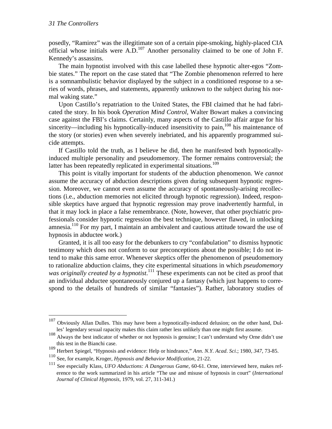posedly, "Ramirez" was the illegitimate son of a certain pipe-smoking, highly-placed CIA official whose initials were  $A.D.<sup>107</sup>$  Another personality claimed to be one of John F. Kennedy's assassins.

The main hypnotist involved with this case labelled these hypnotic alter-egos "Zombie states." The report on the case stated that "The Zombie phenomenon referred to here is a somnambulistic behavior displayed by the subject in a conditioned response to a series of words, phrases, and statements, apparently unknown to the subject during his normal waking state."

Upon Castillo's repatriation to the United States, the FBI claimed that he had fabricated the story. In his book *Operation Mind Control,* Walter Bowart makes a convincing case against the FBI's claims. Certainly, many aspects of the Castillo affair argue for his sincerity—including his hypnotically-induced insensitivity to pain,<sup>108</sup> his maintenance of the story (or stories) even when severely inebriated, and his apparently programmed suicide attempts.

If Castillo told the truth, as I believe he did, then he manifested both hypnoticallyinduced multiple personality and pseudomemory. The former remains controversial; the latter has been repeatedly replicated in experimental situations.<sup>109</sup>

This point is vitally important for students of the abduction phenomenon. We *cannot* assume the accuracy of abduction descriptions given during subsequent hypnotic regression. Moreover, we cannot even assume the accuracy of spontaneously-arising recollections (i.e., abduction memories not elicited through hypnotic regression). Indeed, responsible skeptics have argued that hypnotic regression may prove inadvertently harmful, in that it may lock in place a false remembrance. (Note, however, that other psychiatric professionals consider hypnotic regression the best technique, however flawed, in unlocking amnesia.<sup>110</sup> For my part, I maintain an ambivalent and cautious attitude toward the use of hypnosis in abductee work.)

Granted, it is all too easy for the debunkers to cry "confabulation" to dismiss hypnotic testimony which does not conform to our preconceptions about the possible; I do not intend to make this same error. Whenever skeptics offer the phenomenon of pseudomemory to rationalize abduction claims, they cite experimental situations in which *pseudomemory*  was originally created by a hypnotist.<sup>111</sup> These experiments can not be cited as proof that an individual abductee spontaneously conjured up a fantasy (which just happens to correspond to the details of hundreds of similar "fantasies"). Rather, laboratory studies of

<sup>107</sup> <sup>107</sup> Obviously Allan Dulles. This may have been a hypnotically-induced delusion; on the other hand, Dulles' legendary sexual rapacity makes this claim rather less unlikely than one might first assume.

<sup>&</sup>lt;sup>108</sup> Always the best indicator of whether or not hypnosis is genuine; I can't understand why Orne didn't use this test in the Bianchi case.

<sup>109</sup> Herbert Spiegel, "Hypnosis and evidence: Help or hindrance," *Ann*. *N*.*Y*. *Acad*. *Sci*.; 1980, *347,* 73-85.

<sup>110</sup> See, for example, Kroger, *Hypnosis and Behavior Modification,* 21-22.

<sup>111</sup> See especially Klass, *UFO Abductions: A Dangerous Game,* 60-61. Orne, interviewed here, makes reference to the work summarized in his article "The use and misuse of hypnosis in court" (*International Journal of Clinical Hypnosis,* 1979, vol. 27, 311-341.)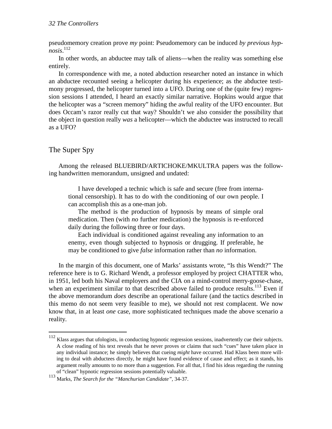pseudomemory creation prove *my* point: Pseudomemory can be induced *by previous hypnosis*. 112

In other words, an abductee may talk of aliens—when the reality was something else entirely.

In correspondence with me, a noted abduction researcher noted an instance in which an abductee recounted seeing a helicopter during his experience; as the abductee testimony progressed, the helicopter turned into a UFO. During one of the (quite few) regression sessions I attended, I heard an exactly similar narrative. Hopkins would argue that the helicopter was a "screen memory" hiding the awful reality of the UFO encounter. But does Occam's razor really cut that way? Shouldn't we also consider the possibility that the object in question really *was* a helicopter—which the abductee was instructed to recall as a UFO?

## The Super Spy

<u>.</u>

Among the released BLUEBIRD/ARTICHOKE/MKULTRA papers was the following handwritten memorandum, unsigned and undated:

I have developed a technic which is safe and secure (free from international censorship). It has to do with the conditioning of our own people. I can accomplish this as a one-man job.

The method is the production of hypnosis by means of simple oral medication. Then (with *no* further medication) the hypnosis is re-enforced daily during the following three or four days.

Each individual is conditioned against revealing any information to an enemy, even though subjected to hypnosis or drugging. If preferable, he may be conditioned to give *false* information rather than *no* information.

In the margin of this document, one of Marks' assistants wrote, "Is this Wendt?" The reference here is to G. Richard Wendt, a professor employed by project CHATTER who, in 1951, led both his Naval employers and the CIA on a mind-control merry-goose-chase, when an experiment similar to that described above failed to produce results.<sup>113</sup> Even if the above memorandum *does* describe an operational failure (and the tactics described in this memo do not seem very feasible to me), we should not rest complacent. We now know that, in at least *one* case, more sophisticated techniques made the above scenario a reality.

 $112$  Klass argues that ufologists, in conducting hypnotic regression sessions, inadvertently cue their subjects. A close reading of his text reveals that he never proves or claims that such "cues" have taken place in any individual instance; he simply believes that cueing *might* have occurred. Had Klass been more willing to deal with abductees directly, he might have found evidence of cause and effect; as it stands, his argument really amounts to no more than a suggestion. For all that, I find his ideas regarding the running of "clean" hypnotic regression sessions potentially valuable.

<sup>113</sup> Marks, *The Search for the "Manchurian Candidate",* 34-37.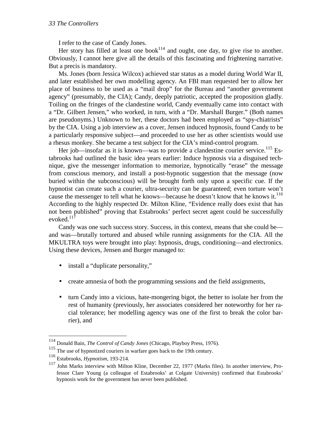I refer to the case of Candy Jones.

Her story has filled at least one book<sup>114</sup> and ought, one day, to give rise to another. Obviously, I cannot here give all the details of this fascinating and frightening narrative. But a precis is mandatory.

Ms. Jones (born Jessica Wilcox) achieved star status as a model during World War II, and later established her own modelling agency. An FBI man requested her to allow her place of business to be used as a "mail drop" for the Bureau and "another government agency" (presumably, the CIA); Candy, deeply patriotic, accepted the proposition gladly. Toiling on the fringes of the clandestine world, Candy eventually came into contact with a "Dr. Gilbert Jensen," who worked, in turn, with a "Dr. Marshall Burger." (Both names are pseudonyms.) Unknown to her, these doctors had been employed as "spy-chiatrists" by the CIA. Using a job interview as a cover, Jensen induced hypnosis, found Candy to be a particularly responsive subject—and proceeded to use her as other scientists would use a rhesus monkey. She became a test subject for the CIA's mind-control program.

Her job—insofar as it is known—was to provide a clandestine courier service.<sup>115</sup> Estabrooks had outlined the basic idea years earlier: Induce hypnosis via a disguised technique, give the messenger information to memorize, hypnotically "erase" the message from conscious memory, and install a post-hypnotic suggestion that the message (now buried within the subconscious) will be brought forth only upon a specific cue. If the hypnotist can create such a courier, ultra-security can be guaranteed; even torture won't cause the messenger to tell what he knows—because he doesn't know that he knows it.<sup>116</sup> According to the highly respected Dr. Milton Kline, "Evidence really does exist that has not been published" proving that Estabrooks' perfect secret agent could be successfully evoked. $117$ 

Candy was one such success story. Success, in this context, means that she could be and was—brutally tortured and abused while running assignments for the CIA. All the MKULTRA toys were brought into play: hypnosis, drugs, conditioning—and electronics. Using these devices, Jensen and Burger managed to:

- install a "duplicate personality,"
- create amnesia of both the programming sessions and the field assignments,
- turn Candy into a vicious, hate-mongering bigot, the better to isolate her from the rest of humanity (previously, her associates considered her noteworthy for her racial tolerance; her modelling agency was one of the first to break the color barrier), and

<sup>114</sup> Donald Bain, *The Control of Candy Jones* (Chicago, Playboy Press, 1976).

<sup>&</sup>lt;sup>115</sup> The use of hypnotized couriers in warfare goes back to the 19th century.

<sup>116</sup> Estabrooks, *Hypnotism,* 193-214.

<sup>117</sup> John Marks interview with Milton Kline, December 22, 1977 (Marks files). In another interview, Professor Clare Young (a colleague of Estabrooks' at Colgate University) confirmed that Estabrooks' hypnosis work for the government has never been published.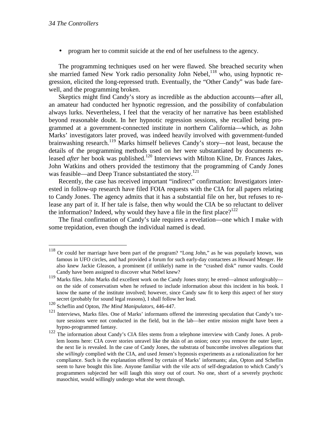$\overline{a}$ 

• program her to commit suicide at the end of her usefulness to the agency.

The programming techniques used on her were flawed. She breached security when she married famed New York radio personality John Nebel, $^{118}$  who, using hypnotic regression, elicited the long-repressed truth. Eventually, the "Other Candy" was bade farewell, and the programming broken.

Skeptics might find Candy's story as incredible as the abduction accounts—after all, an amateur had conducted her hypnotic regression, and the possibility of confabulation always lurks. Nevertheless, I feel that the veracity of her narrative has been established beyond reasonable doubt. In her hypnotic regression sessions, she recalled being programmed at a government-connected institute in northern California—which, as John Marks' investigators later proved, was indeed heavily involved with government-funded brainwashing research.<sup>119</sup> Marks himself believes Candy's story—not least, because the details of the programming methods used on her were substantiated by documents released *after* her book was published.<sup>120</sup> Interviews with Milton Kline, Dr. Frances Jakes, John Watkins and others provided the testimony that the programming of Candy Jones was feasible—and Deep Trance substantiated the story.<sup>121</sup>

Recently, the case has received important "indirect" confirmation: Investigators interested in follow-up research have filed FOIA requests with the CIA for all papers relating to Candy Jones. The agency admits that it has a substantial file on her, but refuses to release any part of it. If her tale is false, then why would the CIA be so reluctant to deliver the information? Indeed, why would they have a file in the first place?<sup>122</sup>

The final confirmation of Candy's tale requires a revelation—one which I make with some trepidation, even though the individual named is dead.

120 Scheflin and Opton, *The Mind Manipulators*, 446-447.

<sup>&</sup>lt;sup>118</sup> Or could her marriage have been part of the program? "Long John," as he was popularly known, was famous in UFO circles, and had provided a forum for such early-day contactees as Howard Menger. He also knew Jackie Gleason, a prominent (if unlikely) name in the "crashed disk" rumor vaults. Could Candy have been assigned to discover what Nebel knew?

<sup>&</sup>lt;sup>119</sup> Marks files. John Marks did excellent work on the Candy Jones story; he erred—almost unforgivably on the side of conservatism when he refused to include information about this incident in his book. I know the name of the institute involved; however, since Candy saw fit to keep this aspect of her story secret (probably for sound legal reasons), I shall follow her lead.

Interviews, Marks files. One of Marks' informants offered the interesting speculation that Candy's torture sessions were not conducted in the field, but in the lab—her entire mission might have been a hypno-programmed fantasy.

<sup>&</sup>lt;sup>122</sup> The information about Candy's CIA files stems from a telephone interview with Candy Jones. A problem looms here: CIA cover stories unravel like the skin of an onion; once you remove the outer layer, the next lie is revealed. In the case of Candy Jones, the substrata of buncombe involves allegations that she *willingly* complied with the CIA, and used Jensen's hypnosis experiments as a rationalization for her compliance. Such is the explanation offered by certain of Marks' informants; alas, Opton and Scheflin seem to have bought this line. Anyone familiar with the vile acts of self-degradation to which Candy's programmers subjected her will laugh this story out of court. No one, short of a severely psychotic masochist, would willingly undergo what she went through.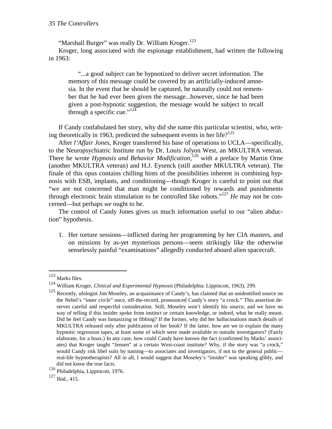"Marshall Burger" was really Dr. William Kroger.<sup>123</sup>

Kroger, long associated with the espionage establishment, had written the following in 1963:

"...a good subject can be hypnotized to deliver secret information. The memory of this message could be covered by an artificially-induced amnesia. In the event that he should be captured, he naturally could not remember that he had ever been given the message...however, since he had been given a post-hypnotic suggestion, the message would be subject to recall through a specific cue." $124$ 

If Candy confabulated her story, why did she name this particular scientist, who, writing theoretically in 1963, predicted the subsequent events in her life? $125$ 

After *l'Affair Jones,* Kroger transferred his base of operations to UCLA—specifically, to the Neuropsychiatric Institute run by Dr. Louis Jolyon West, an MKULTRA veteran. There he wrote *Hypnosis and Behavior Modification*,<sup>126</sup> with a preface by Martin Orne (another MKULTRA veteran) and H.J. Eysenck (still another MKULTRA veteran). The finale of this opus contains chilling hints of the possibilities inherent in combining hypnosis with ESB, implants, and conditioning—though Kroger is careful to point out that "we are not concerned that man might be conditioned by rewards and punishments through electronic brain stimulation to be controlled like robots."<sup>127</sup> *He* may not be concerned—but perhaps *we* ought to be.

The control of Candy Jones gives us much information useful to our "alien abduction" hypothesis.

1. Her torture sessions—inflicted during her programming by her CIA masters, and on missions by as-yet mysterious persons—seem strikingly like the otherwise senselessly painful "examinations" allegedly conducted aboard alien spacecraft.

<sup>123</sup> Marks files.

<sup>124</sup> William Kroger, *Clinical and Experimental Hypnosis* (Philadelphia: Lippincott, 1963), 299.

<sup>&</sup>lt;sup>125</sup> Recently, ufologist Jim Moseley, an acquaintance of Candy's, has claimed that an unidentified source on the Nebel's "inner circle" once, off-the-record, pronounced Candy's story "a crock." This assertion deserves careful and respectful consideration. Still, Moseley won't identify his source, and we have no way of telling if this insider spoke from instinct or certain knowledge, or indeed, what he really meant. Did he feel Candy was fantasizing or fibbing? If the former, why did her hallucinations match details of MKULTRA released only after publication of her book? If the latter, how are we to explain the many hypnotic regression tapes, at least some of which were made available to outside investigators? (Fairly elaborate, for a hoax.) In any case, how could Candy have known the fact (confirmed by Marks' associates) that Kroger taught "Jensen" at a certain West-coast institute? Why, if the story was "a crock," would Candy risk libel suits by naming—to associates and investigators, if not to the general public real-life hypnotherapists? All in all, I would suggest that Moseley's "insider" was speaking glibly, and did not know the true facts.

<sup>126</sup> Philadelphia, Lippincott, 1976.

<sup>127</sup> Ibid., 415.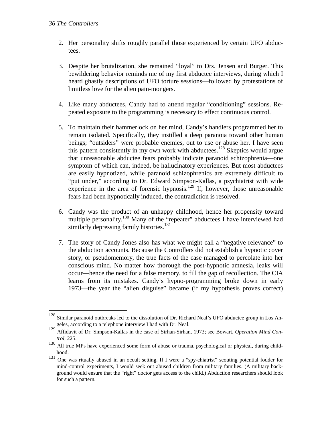- 2. Her personality shifts roughly parallel those experienced by certain UFO abductees.
- 3. Despite her brutalization, she remained "loyal" to Drs. Jensen and Burger. This bewildering behavior reminds me of my first abductee interviews, during which I heard ghastly descriptions of UFO torture sessions—followed by protestations of limitless love for the alien pain-mongers.
- 4. Like many abductees, Candy had to attend regular "conditioning" sessions. Repeated exposure to the programming is necessary to effect continuous control.
- 5. To maintain their hammerlock on her mind, Candy's handlers programmed her to remain isolated. Specifically, they instilled a deep paranoia toward other human beings; "outsiders" were probable enemies, out to use or abuse her. I have seen this pattern consistently in my own work with abductees.<sup>128</sup> Skeptics would argue that unreasonable abductee fears probably indicate paranoid schizophrenia—one symptom of which can, indeed, be hallucinatory experiences. But most abductees are easily hypnotized, while paranoid schizophrenics are extremely difficult to "put under," according to Dr. Edward Simpson-Kallas, a psychiatrist with wide experience in the area of forensic hypnosis.<sup>129</sup> If, however, those unreasonable fears had been hypnotically induced, the contradiction is resolved.
- 6. Candy was the product of an unhappy childhood, hence her propensity toward multiple personality.<sup>130</sup> Many of the "repeater" abductees I have interviewed had similarly depressing family histories.<sup>131</sup>
- 7. The story of Candy Jones also has what we might call a "negative relevance" to the abduction accounts. Because the Controllers did not establish a hypnotic cover story, or pseudomemory, the true facts of the case managed to percolate into her conscious mind. No matter how thorough the post-hypnotic amnesia, leaks will occur—hence the need for a false memory, to fill the gap of recollection. The CIA learns from its mistakes. Candy's hypno-programming broke down in early 1973—the year the "alien disguise" became (if my hypothesis proves correct)

 $128$  Similar paranoid outbreaks led to the dissolution of Dr. Richard Neal's UFO abductee group in Los Angeles, according to a telephone interview I had with Dr. Neal.

<sup>129</sup> Affidavit of Dr. Simpson-Kallas in the case of Sirhan-Sirhan, 1973; see Bowart, *Operation Mind Control,* 225.

<sup>&</sup>lt;sup>130</sup> All true MPs have experienced some form of abuse or trauma, psychological or physical, during childhood.

<sup>&</sup>lt;sup>131</sup> One was ritually abused in an occult setting. If I were a "spy-chiatrist" scouting potential fodder for mind-control experiments, I would seek out abused children from military families. (A military background would ensure that the "right" doctor gets access to the child.) Abduction researchers should look for such a pattern.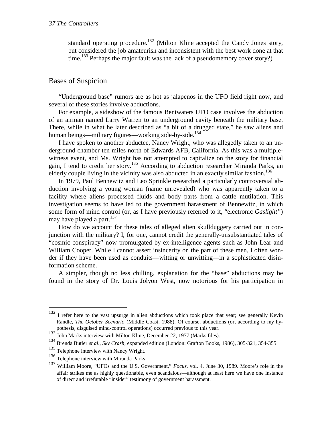standard operating procedure.<sup>132</sup> (Milton Kline accepted the Candy Jones story, but considered the job amateurish and inconsistent with the best work done at that time.<sup>133</sup> Perhaps the major fault was the lack of a pseudomemory cover story?)

## Bases of Suspicion

"Underground base" rumors are as hot as jalapenos in the UFO field right now, and several of these stories involve abductions.

For example, a sideshow of the famous Bentwaters UFO case involves the abduction of an airman named Larry Warren to an underground cavity beneath the military base. There, while in what he later described as "a bit of a drugged state," he saw aliens and human beings—military figures—working side-by-side.<sup>134</sup>

I have spoken to another abductee, Nancy Wright, who was allegedly taken to an underground chamber ten miles north of Edwards AFB, California. As this was a multiplewitness event, and Ms. Wright has not attempted to capitalize on the story for financial gain, I tend to credit her story.<sup>135</sup> According to abduction researcher Miranda Parks, an elderly couple living in the vicinity was also abducted in an exactly similar fashion.<sup>136</sup>

In 1979, Paul Bennewitz and Leo Sprinkle researched a particularly controversial abduction involving a young woman (name unrevealed) who was apparently taken to a facility where aliens processed fluids and body parts from a cattle mutilation. This investigation seems to have led to the government harassment of Bennewitz, in which some form of mind control (or, as I have previously referred to it, "electronic *Gaslight"*) may have played a part.  $137$ 

How do we account for these tales of alleged alien skullduggery carried out in conjunction with the military? I, for one, cannot credit the generally-unsubstantiated tales of "cosmic conspiracy" now promulgated by ex-intelligence agents such as John Lear and William Cooper. While I cannot assert insincerity on the part of these men, I often wonder if they have been used as conduits—witting or unwitting—in a sophisticated disinformation scheme.

A simpler, though no less chilling, explanation for the "base" abductions may be found in the story of Dr. Louis Jolyon West, now notorious for his participation in

 $\overline{a}$ 

<sup>&</sup>lt;sup>132</sup> I refer here to the vast upsurge in alien abductions which took place that year; see generally Kevin Randle, *The October Scenario* (Middle Coast, 1988). Of course, abductions (or, according to my hypothesis, disguised mind-control operations) occurred previous to this year.

<sup>133</sup> John Marks interview with Milton Kline, December 22, 1977 (Marks files).

<sup>134</sup> Brenda Butler *et al*.*, Sky Crash,* expanded edition (London: Grafton Books, 1986), 305-321, 354-355.

<sup>&</sup>lt;sup>135</sup> Telephone interview with Nancy Wright.

<sup>&</sup>lt;sup>136</sup> Telephone interview with Miranda Parks.

<sup>137</sup> William Moore, "UFOs and the U.S. Government," *Focus,* vol. 4, June 30, 1989. Moore's role in the affair strikes me as highly questionable, even scandalous—although at least here we have one instance of direct and irrefutable "insider" testimony of government harassment.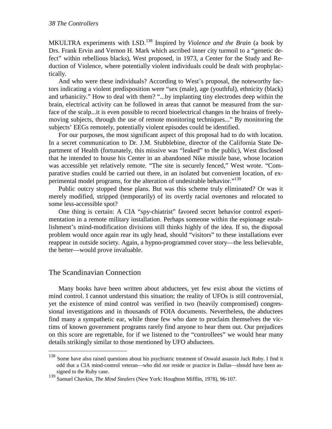MKULTRA experiments with LSD.<sup>138</sup> Inspired by *Violence and the Brain* (a book by Drs. Frank Ervin and Vernon H. Mark which ascribed inner city turmoil to a "genetic defect" within rebellious blacks), West proposed, in 1973, a Center for the Study and Reduction of Violence, where potentially violent individuals could be dealt with prophylactically.

And who were these individuals? According to West's proposal, the noteworthy factors indicating a violent predisposition were "sex (male), age (youthful), ethnicity (black) and urbanicity." How to deal with them? "...by implanting tiny electrodes deep within the brain, electrical activity can be followed in areas that cannot be measured from the surface of the scalp...it is even possible to record bioelectrical changes in the brains of freelymoving subjects, through the use of remote monitoring techniques..." By monitoring the subjects' EEGs remotely, potentially violent episodes could be identified.

For our purposes, the most significant aspect of this proposal had to do with location. In a secret communication to Dr. J.M. Stubblebine, director of the California State Department of Health (fortunately, this missive was "leaked" to the public), West disclosed that he intended to house his Center in an abandoned Nike missile base, whose location was accessible yet relatively remote. "The site is securely fenced," West wrote. "Comparative studies could be carried out there, in an isolated but convenient location, of experimental model programs, for the alteration of undesirable behavior."<sup>139</sup>

Public outcry stopped these plans. But was this scheme truly eliminated? Or was it merely modified, stripped (temporarily) of its overtly racial overtones and relocated to some less-accessible spot?

One thing is certain: A CIA "spy-chiatrist" favored secret behavior control experimentation in a remote military installation. Perhaps someone within the espionage establishment's mind-modification divisions still thinks highly of the idea. If so, the disposal problem would once again rear its ugly head, should "visitors" to these installations ever reappear in outside society. Again, a hypno-programmed cover story—the less believable, the better—would prove invaluable.

## The Scandinavian Connection

 $\overline{a}$ 

Many books have been written about abductees, yet few exist about the victims of mind control. I cannot understand this situation; the reality of UFOs is still controversial, yet the existence of mind control was verified in two (heavily compromised) congressional investigations and in thousands of FOIA documents. Nevertheless, the abductees find many a sympathetic ear, while those few who dare to proclaim themselves the victims of known government programs rarely find anyone to hear them out. Our prejudices on this score are regrettable, for if we listened to the "controllees" we would hear many details strikingly similar to those mentioned by UFO abductees.

<sup>&</sup>lt;sup>138</sup> Some have also raised questions about his psychiatric treatment of Oswald assassin Jack Ruby. I find it odd that a CIA mind-control veteran—who did *not* reside or practice in Dallas—should have been assigned to the Ruby case.

<sup>139</sup> Samuel Chavkin, *The Mind Stealers* (New York: Houghton Mifflin, 1978), 96-107.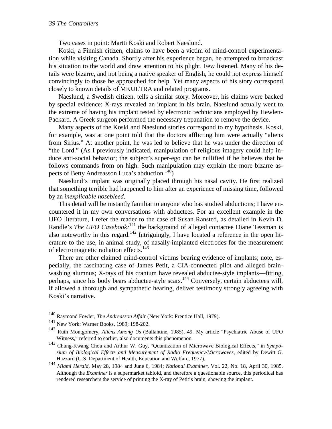Two cases in point: Martti Koski and Robert Naeslund.

Koski, a Finnish citizen, claims to have been a victim of mind-control experimentation while visiting Canada. Shortly after his experience began, he attempted to broadcast his situation to the world and draw attention to his plight. Few listened. Many of his details were bizarre, and not being a native speaker of English, he could not express himself convincingly to those he approached for help. Yet many aspects of his story correspond closely to known details of MKULTRA and related programs.

Naeslund, a Swedish citizen, tells a similar story. Moreover, his claims were backed by special evidence: X-rays revealed an implant in his brain. Naeslund actually went to the extreme of having his implant tested by electronic technicians employed by Hewlett-Packard. A Greek surgeon performed the necessary trepanation to remove the device.

Many aspects of the Koski and Naeslund stories correspond to my hypothesis. Koski, for example, was at one point told that the doctors afflicting him were actually "aliens from Sirius." At another point, he was led to believe that he was under the direction of "the Lord." (As I previously indicated, manipulation of religious imagery could help induce anti-social behavior; the subject's super-ego can be nullified if he believes that he follows commands from on high. Such manipulation may explain the more bizarre aspects of Betty Andreasson Luca's abduction.<sup>140</sup>)

Naeslund's implant was originally placed through his nasal cavity. He first realized that something terrible had happened to him after an experience of missing time, followed by an *inexplicable nosebleed*.

This detail will be instantly familiar to anyone who has studied abductions; I have encountered it in my own conversations with abductees. For an excellent example in the UFO literature, I refer the reader to the case of Susan Ransted, as detailed in Kevin D. Randle's *The UFO Casebook*;<sup>141</sup> the background of alleged contactee Diane Tessman is also noteworthy in this regard.<sup>142</sup> Intriguingly, I have located a reference in the open literature to the use, in animal study, of nasally-implanted electrodes for the measurement of electromagnetic radiation effects.<sup>143</sup>

There are other claimed mind-control victims bearing evidence of implants; note, especially, the fascinating case of James Petit, a CIA-connected pilot and alleged brainwashing alumnus; X-rays of his cranium have revealed abductee-style implants—fitting, perhaps, since his body bears abductee-style scars.<sup>144</sup> Conversely, certain abductees will, if allowed a thorough and sympathetic hearing, deliver testimony strongly agreeing with Koski's narrative.

-

<sup>140</sup> Raymond Fowler, *The Andreasson Affair* (New York: Prentice Hall, 1979).

<sup>141</sup> New York: Warner Books, 1989; 198-202.

<sup>142</sup> Ruth Montgomery, *Aliens Among Us* (Ballantine, 1985), 49. My article "Psychiatric Abuse of UFO Witness," referred to earlier, also documents this phenomenon.

<sup>143</sup> Chung-Kwang Chou and Arthur W. Guy, "Quantization of Microwave Biological Effects," in *Symposium of Biological Effects and Measurement of Radio Frequency/Microwaves,* edited by Dewitt G. Hazzard (U.S. Department of Health, Education and Welfare, 1977).

<sup>144</sup> *Miami Herald,* May 28, 1984 and June 6, 1984; *National Examiner,* Vol. 22, No. 18, April 30, 1985. Although the *Examiner* is a supermarket tabloid, and therefore a questionable source, this periodical has rendered researchers the service of printing the X-ray of Petit's brain, showing the implant.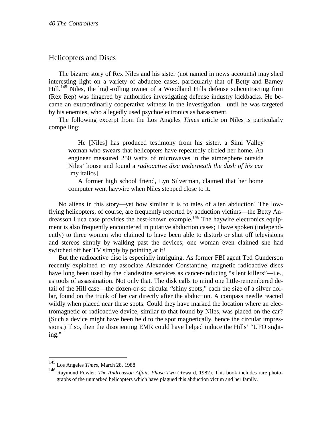## Helicopters and Discs

The bizarre story of Rex Niles and his sister (not named in news accounts) may shed interesting light on a variety of abductee cases, particularly that of Betty and Barney Hill.<sup>145</sup> Niles, the high-rolling owner of a Woodland Hills defense subcontracting firm (Rex Rep) was fingered by authorities investigating defense industry kickbacks. He became an extraordinarily cooperative witness in the investigation—until he was targeted by his enemies, who allegedly used psychoelectronics as harassment.

The following excerpt from the Los Angeles *Times* article on Niles is particularly compelling:

He [Niles] has produced testimony from his sister, a Simi Valley woman who swears that helicopters have repeatedly circled her home. An engineer measured 250 watts of microwaves in the atmosphere outside Niles' house and found a *radioactive disc underneath the dash of his car* [my italics].

A former high school friend, Lyn Silverman, claimed that her home computer went haywire when Niles stepped close to it.

No aliens in this story—yet how similar it is to tales of alien abduction! The lowflying helicopters, of course, are frequently reported by abduction victims—the Betty Andreasson Luca case provides the best-known example.<sup>146</sup> The haywire electronics equipment is also frequently encountered in putative abduction cases; I have spoken (independently) to three women who claimed to have been able to disturb or shut off televisions and stereos simply by walking past the devices; one woman even claimed she had switched off her TV simply by pointing at it!

But the radioactive disc is especially intriguing. As former FBI agent Ted Gunderson recently explained to my associate Alexander Constantine, magnetic radioactive discs have long been used by the clandestine services as cancer-inducing "silent killers"—i.e., as tools of assassination. Not only that. The disk calls to mind one little-remembered detail of the Hill case—the dozen-or-so circular "shiny spots," each the size of a silver dollar, found on the trunk of her car directly after the abduction. A compass needle reacted wildly when placed near these spots. Could they have marked the location where an electromagnetic or radioactive device, similar to that found by Niles, was placed on the car? (Such a device might have been held to the spot magnetically, hence the circular impressions.) If so, then the disorienting EMR could have helped induce the Hills' "UFO sighting."

<sup>145</sup> Los Angeles *Times,* March 28, 1988.

<sup>146</sup> Raymond Fowler, *The Andreasson Affair, Phase Two* (Reward, 1982). This book includes rare photographs of the unmarked helicopters which have plagued this abduction victim and her family.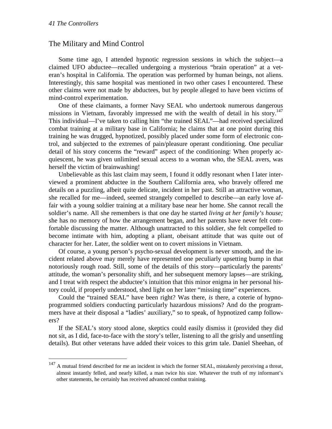<u>.</u>

## The Military and Mind Control

Some time ago, I attended hypnotic regression sessions in which the subject—a claimed UFO abductee—recalled undergoing a mysterious "brain operation" at a veteran's hospital in California. The operation was performed by human beings, not aliens. Interestingly, this same hospital was mentioned in two other cases I encountered. These other claims were not made by abductees, but by people alleged to have been victims of mind-control experimentation.

One of these claimants, a former Navy SEAL who undertook numerous dangerous missions in Vietnam, favorably impressed me with the wealth of detail in his story.<sup>147</sup> This individual—I've taken to calling him "the trained SEAL"—had received specialized combat training at a military base in California; he claims that at one point during this training he was drugged, hypnotized, possibly placed under some form of electronic control, and subjected to the extremes of pain/pleasure operant conditioning. One peculiar detail of his story concerns the "reward" aspect of the conditioning: When properly acquiescent, he was given unlimited sexual access to a woman who, the SEAL avers, was herself the victim of brainwashing!

Unbelievable as this last claim may seem, I found it oddly resonant when I later interviewed a prominent abductee in the Southern California area, who bravely offered me details on a puzzling, albeit quite delicate, incident in her past. Still an attractive woman, she recalled for me—indeed, seemed strangely compelled to describe—an early love affair with a young soldier training at a military base near her home. She cannot recall the soldier's name. All she remembers is that one day he started *living at her family's house;* she has no memory of how the arrangement began, and her parents have never felt comfortable discussing the matter. Although unattracted to this soldier, she felt compelled to become intimate with him, adopting a pliant, obeisant attitude that was quite out of character for her. Later, the soldier went on to covert missions in Vietnam.

Of course, a young person's psycho-sexual development is never smooth, and the incident related above may merely have represented one peculiarly upsetting bump in that notoriously rough road. Still, some of the details of this story—particularly the parents' attitude, the woman's personality shift, and her subsequent memory lapses—are striking, and I treat with respect the abductee's intuition that this minor enigma in her personal history could, if properly understood, shed light on her later "missing time" experiences.

Could the "trained SEAL" have been right? Was there, *is* there, a coterie of hypnoprogrammed soldiers conducting particularly hazardous missions? And do the programmers have at their disposal a "ladies' auxiliary," so to speak, of hypnotized camp followers?

If the SEAL's story stood alone, skeptics could easily dismiss it (provided they did not sit, as I did, face-to-face with the story's teller, listening to all the grisly and unsettling details). But other veterans have added their voices to this grim tale. Daniel Sheehan, of

 $147$  A mutual friend described for me an incident in which the former SEAL, mistakenly perceiving a threat, almost instantly felled, and nearly killed, a man twice his size. Whatever the truth of my informant's other statements, he certainly has received advanced combat training.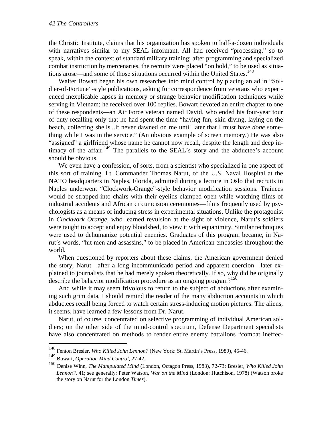the Christic Institute, claims that his organization has spoken to half-a-dozen individuals with narratives similar to my SEAL informant. All had received "processing," so to speak, within the context of standard military training; after programming and specialized combat instruction by mercenaries, the recruits were placed "on hold," to be used as situations arose—and some of those situations occurred within the United States.<sup>148</sup>

Walter Bowart began his own researches into mind control by placing an ad in "Soldier-of-Fortune"-style publications, asking for correspondence from veterans who experienced inexplicable lapses in memory or strange behavior modification techniques while serving in Vietnam; he received over 100 replies. Bowart devoted an entire chapter to one of these respondents—an Air Force veteran named David, who ended his four-year tour of duty recalling only that he had spent the time "having fun, skin diving, laying on the beach, collecting shells...It never dawned on me until later that I must have *done* something while I was in the service." (An obvious example of screen memory.) He was also "assigned" a girlfriend whose name he cannot now recall, despite the length and deep intimacy of the affair.<sup>149</sup> The parallels to the SEAL's story and the abductee's account should be obvious.

We even have a confession, of sorts, from a scientist who specialized in one aspect of this sort of training. Lt. Commander Thomas Narut, of the U.S. Naval Hospital at the NATO headquarters in Naples, Florida, admitted during a lecture in Oslo that recruits in Naples underwent "Clockwork-Orange"-style behavior modification sessions. Trainees would be strapped into chairs with their eyelids clamped open while watching films of industrial accidents and African circumcision ceremonies—films frequently used by psychologists as a means of inducing stress in experimental situations. Unlike the protagonist in *Clockwork Orange,* who learned revulsion at the sight of violence, Narut's soldiers were taught to accept and enjoy bloodshed, to view it with equanimity. Similar techniques were used to dehumanize potential enemies. Graduates of this program became, in Narut's words, "hit men and assassins," to be placed in American embassies throughout the world.

When questioned by reporters about these claims, the American government denied the story; Narut—after a long incommunicado period and apparent coercion—later explained to journalists that he had merely spoken theoretically. If so, why did he originally describe the behavior modification procedure as an ongoing program?<sup>150</sup>

And while it may seem frivolous to return to the subject of abductions after examining such grim data, I should remind the reader of the many abduction accounts in which abductees recall being forced to watch certain stress-inducing motion pictures. The aliens, it seems, have learned a few lessons from Dr. Narut.

Narut, of course, concentrated on selective programming of individual American soldiers; on the other side of the mind-control spectrum, Defense Department specialists have also concentrated on methods to render entire enemy battalions "combat ineffec-

 $\overline{a}$ 

<sup>148</sup> Fenton Bresler, *Who Killed John Lennon?* (New York: St. Martin's Press, 1989), 45-46.

<sup>149</sup> Bowart, *Operation Mind Control,* 27-42.

<sup>150</sup> Denise Winn, *The Manipulated Mind* (London, Octagon Press, 1983), 72-73; Bresler, *Who Killed John Lennon?,* 41; see generally: Peter Watson, *War on the Mind* (London: Hutchison, 1978) (Watson broke the story on Narut for the London *Times*).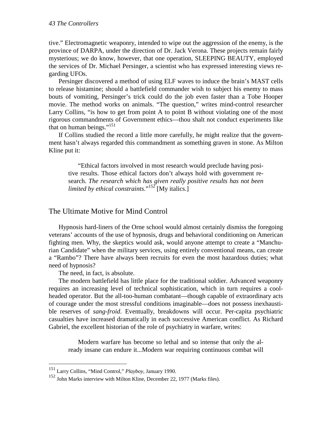tive." Electromagnetic weaponry, intended to wipe out the aggression of the enemy, is the province of DARPA, under the direction of Dr. Jack Verona. These projects remain fairly mysterious; we do know, however, that one operation, SLEEPING BEAUTY, employed the services of Dr. Michael Persinger, a scientist who has expressed interesting views regarding UFOs.

Persinger discovered a method of using ELF waves to induce the brain's MAST cells to release histamine; should a battlefield commander wish to subject his enemy to mass bouts of vomiting, Persinger's trick could do the job even faster than a Tobe Hooper movie. The method works on animals. "The question," writes mind-control researcher Larry Collins, "is how to get from point A to point B without violating one of the most rigorous commandments of Government ethics—thou shalt not conduct experiments like that on human beings." $151$ 

If Collins studied the record a little more carefully, he might realize that the government hasn't always regarded this commandment as something graven in stone. As Milton Kline put it:

"Ethical factors involved in most research would preclude having positive results. Those ethical factors don't always hold with government research. *The research which has given really positive results has not been limited by ethical constraints*."<sup>152</sup> [My italics.]

## The Ultimate Motive for Mind Control

Hypnosis hard-liners of the Orne school would almost certainly dismiss the foregoing veterans' accounts of the use of hypnosis, drugs and behavioral conditioning on American fighting men. Why, the skeptics would ask, would anyone attempt to create a "Manchurian Candidate" when the military services, using entirely conventional means, can create a "Rambo"? There have always been recruits for even the most hazardous duties; what need of hypnosis?

The need, in fact, is absolute.

The modern battlefield has little place for the traditional soldier. Advanced weaponry requires an increasing level of technical sophistication, which in turn requires a coolheaded operator. But the all-too-human combatant—though capable of extraordinary acts of courage under the most stressful conditions imaginable—does not possess inexhaustible reserves of *sang-froid*. Eventually, breakdowns will occur. Per-capita psychiatric casualties have increased dramatically in each successive American conflict. As Richard Gabriel, the excellent historian of the role of psychiatry in warfare, writes:

Modern warfare has become so lethal and so intense that only the already insane can endure it...Modern war requiring continuous combat will

 $\overline{a}$ 

<sup>151</sup> Larry Collins, "Mind Control," *Playboy,* January 1990.

<sup>152</sup> John Marks interview with Milton Kline, December 22, 1977 (Marks files).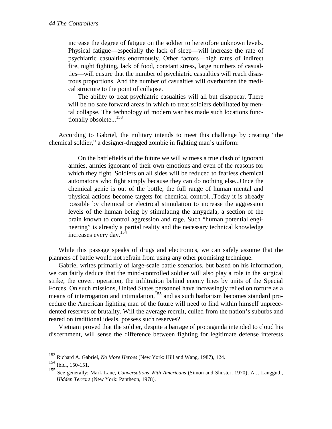increase the degree of fatigue on the soldier to heretofore unknown levels. Physical fatigue—especially the lack of sleep—will increase the rate of psychiatric casualties enormously. Other factors—high rates of indirect fire, night fighting, lack of food, constant stress, large numbers of casualties—will ensure that the number of psychiatric casualties will reach disastrous proportions. And the number of casualties will overburden the medical structure to the point of collapse.

The ability to treat psychiatric casualties will all but disappear. There will be no safe forward areas in which to treat soldiers debilitated by mental collapse. The technology of modern war has made such locations functionally obsolete...<sup>153</sup>

According to Gabriel, the military intends to meet this challenge by creating "the chemical soldier," a designer-drugged zombie in fighting man's uniform:

On the battlefields of the future we will witness a true clash of ignorant armies, armies ignorant of their own emotions and even of the reasons for which they fight. Soldiers on all sides will be reduced to fearless chemical automatons who fight simply because they can do nothing else...Once the chemical genie is out of the bottle, the full range of human mental and physical actions become targets for chemical control...Today it is already possible by chemical or electrical stimulation to increase the aggression levels of the human being by stimulating the amygdala, a section of the brain known to control aggression and rage. Such "human potential engineering" is already a partial reality and the necessary technical knowledge increases every day.<sup>154</sup>

While this passage speaks of drugs and electronics, we can safely assume that the planners of battle would not refrain from using any other promising technique.

Gabriel writes primarily of large-scale battle scenarios, but based on his information, we can fairly deduce that the mind-controlled soldier will also play a role in the surgical strike, the covert operation, the infiltration behind enemy lines by units of the Special Forces. On such missions, United States personnel have increasingly relied on torture as a means of interrogation and intimidation,<sup>155</sup> and as such barbarism becomes standard procedure the American fighting man of the future will need to find within himself unprecedented reserves of brutality. Will the average recruit, culled from the nation's suburbs and reared on traditional ideals, possess such reserves?

Vietnam proved that the soldier, despite a barrage of propaganda intended to cloud his discernment, will sense the difference between fighting for legitimate defense interests

l

<sup>153</sup> Richard A. Gabriel, *No More Heroes* (New York: Hill and Wang, 1987), 124.

<sup>154</sup> Ibid., 150-151.

<sup>155</sup> See generally: Mark Lane, *Conversations With Americans* (Simon and Shuster, 1970); A.J. Langguth, *Hidden Terrors* (New York: Pantheon, 1978).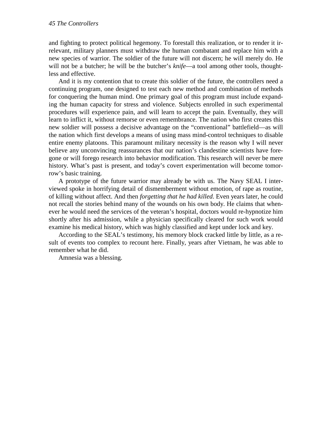and fighting to protect political hegemony. To forestall this realization, or to render it irrelevant, military planners must withdraw the human combatant and replace him with a new species of warrior. The soldier of the future will not discern; he will merely do. He will not be a butcher; he will be the butcher's *knife*—a tool among other tools, thoughtless and effective.

And it is my contention that to create this soldier of the future, the controllers need a continuing program, one designed to test each new method and combination of methods for conquering the human mind. One primary goal of this program must include expanding the human capacity for stress and violence. Subjects enrolled in such experimental procedures will experience pain, and will learn to accept the pain. Eventually, they will learn to inflict it, without remorse or even remembrance. The nation who first creates this new soldier will possess a decisive advantage on the "conventional" battlefield—as will the nation which first develops a means of using mass mind-control techniques to disable entire enemy platoons. This paramount military necessity is the reason why I will never believe any unconvincing reassurances that our nation's clandestine scientists have foregone or will forego research into behavior modification. This research will never be mere history. What's past is present, and today's covert experimentation will become tomorrow's basic training.

A prototype of the future warrior may already be with us. The Navy SEAL I interviewed spoke in horrifying detail of dismemberment without emotion, of rape as routine, of killing without affect. And then *forgetting that he had killed*. Even years later, he could not recall the stories behind many of the wounds on his own body. He claims that whenever he would need the services of the veteran's hospital, doctors would re-hypnotize him shortly after his admission, while a physician specifically cleared for such work would examine his medical history, which was highly classified and kept under lock and key.

According to the SEAL's testimony, his memory block cracked little by little, as a result of events too complex to recount here. Finally, years after Vietnam, he was able to remember what he did.

Amnesia was a blessing.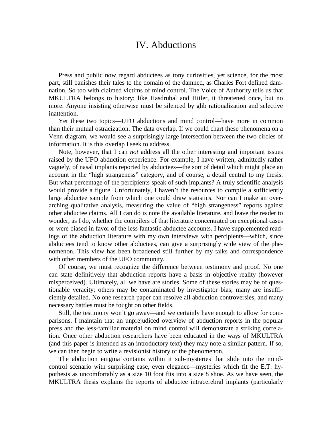## IV. Abductions

Press and public now regard abductees as tony curiosities, yet science, for the most part, still banishes their tales to the domain of the damned, as Charles Fort defined damnation. So too with claimed victims of mind control. The Voice of Authority tells us that MKULTRA belongs to history; like Hasdrubal and Hitler, it threatened once, but no more. Anyone insisting otherwise must be silenced by glib rationalization and selective inattention.

Yet these two topics—UFO abductions and mind control—have more in common than their mutual ostracization. The data overlap. If we could chart these phenomena on a Venn diagram, we would see a surprisingly large intersection between the two circles of information. It is this overlap I seek to address.

Note, however, that I can *not* address all the other interesting and important issues raised by the UFO abduction experience. For example, I have written, admittedly rather vaguely, of nasal implants reported by abductees—the sort of detail which might place an account in the "high strangeness" category, and of course, a detail central to my thesis. But what percentage of the percipients speak of such implants? A truly scientific analysis would provide a figure. Unfortunately, I haven't the resources to compile a sufficiently large abductee sample from which one could draw statistics. Nor can I make an overarching qualitative analysis, measuring the value of "high strangeness" reports against other abductee claims. All I can do is note the available literature, and leave the reader to wonder, as I do, whether the compilers of that literature concentrated on exceptional cases or were biased in favor of the less fantastic abductee accounts. I have supplemented readings of the abduction literature with my own interviews with percipients—which, since abductees tend to know other abductees, can give a surprisingly wide view of the phenomenon. This view has been broadened still further by my talks and correspondence with other members of the UFO community.

Of course, we must recognize the difference between testimony and proof. No one can state definitively that abduction reports have a basis in objective reality (however misperceived). Ultimately, all we have are stories. Some of these stories may be of questionable veracity; others may be contaminated by investigator bias; many are insufficiently detailed. No one research paper can resolve all abduction controversies, and many necessary battles must be fought on other fields.

Still, the testimony won't go away—and we certainly have enough to allow for comparisons. I maintain that an unprejudiced overview of abduction reports in the popular press and the less-familiar material on mind control will demonstrate a striking correlation. Once other abduction researchers have been educated in the ways of MKULTRA (and this paper is intended as an introductory text) they may note a similar pattern. If so, we can then begin to write a revisionist history of the phenomenon.

The abduction enigma contains within it sub-mysteries that slide into the mindcontrol scenario with surprising ease, even elegance—mysteries which fit the E.T. hypothesis as uncomfortably as a size 10 foot fits into a size 8 shoe. As we have seen, the MKULTRA thesis explains the reports of abductee intracerebral implants (particularly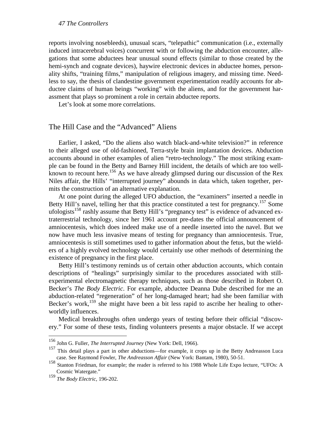reports involving nosebleeds), unusual scars, "telepathic" communication (i.e., externally induced intracerebral voices) concurrent with or following the abduction encounter, allegations that some abductees hear unusual sound effects (similar to those created by the hemi-synch and cognate devices), haywire electronic devices in abductee homes, personality shifts, "training films," manipulation of religious imagery, and missing time. Needless to say, the thesis of clandestine government experimentation readily accounts for abductee claims of human beings "working" with the aliens, and for the government harassment that plays so prominent a role in certain abductee reports.

Let's look at some more correlations.

## The Hill Case and the "Advanced" Aliens

Earlier, I asked, "Do the aliens also watch black-and-white television?" in reference to their alleged use of old-fashioned, Terra-style brain implantation devices. Abduction accounts abound in other examples of alien "retro-technology." The most striking example can be found in the Betty and Barney Hill incident, the details of which are too wellknown to recount here.<sup>156</sup> As we have already glimpsed during our discussion of the Rex Niles affair, the Hills' "interrupted journey" abounds in data which, taken together, permits the construction of an alternative explanation.

At one point during the alleged UFO abduction, the "examiners" inserted a needle in Betty Hill's navel, telling her that this practice constituted a test for pregnancy.<sup>157</sup> Some ufologists<sup>158</sup> rashly assume that Betty Hill's "pregnancy test" is evidence of advanced extraterrestrial technology, since her 1961 account pre-dates the official announcement of amniocentesis, which does indeed make use of a needle inserted into the navel. But we now have much less invasive means of testing for pregnancy than amniocentesis. True, amniocentesis is still sometimes used to gather information about the fetus, but the wielders of a highly evolved technology would certainly use other methods of determining the existence of pregnancy in the first place.

Betty Hill's testimony reminds us of certain other abduction accounts, which contain descriptions of "healings" surprisingly similar to the procedures associated with stillexperimental electromagnetic therapy techniques, such as those described in Robert O. Becker's *The Body Electric*. For example, abductee Deanna Dube described for me an abduction-related "regeneration" of her long-damaged heart; had she been familiar with Becker's work,<sup>159</sup> she might have been a bit less rapid to ascribe her healing to otherworldly influences.

Medical breakthroughs often undergo years of testing before their official "discovery." For some of these tests, finding volunteers presents a major obstacle. If we accept

<sup>156</sup> John G. Fuller, *The Interrupted Journey* (New York: Dell, 1966).

<sup>157</sup> This detail plays a part in other abductions—for example, it crops up in the Betty Andreasson Luca case. See Raymond Fowler, *The Andreasson Affair* (New York: Bantam, 1980), 50-51.

<sup>158</sup> Stanton Friedman, for example; the reader is referred to his 1988 Whole Life Expo lecture, "UFOs: A Cosmic Watergate."

<sup>159</sup> *The Body Electric,* 196-202.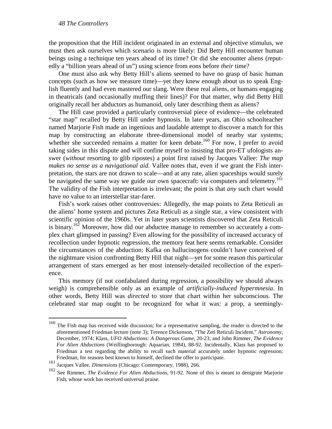the proposition that the Hill incident originated in an external and objective stimulus, we must then ask ourselves which scenario is more likely: Did Betty Hill encounter human beings using a technique ten years ahead of its time? Or did she encounter aliens (reputedly a "billion years ahead of us") using science from eons before *their* time?

One must also ask why Betty Hill's aliens seemed to have no grasp of basic human concepts (such as how we measure time)—yet they knew enough about us to speak English fluently and had even mastered our slang. Were these real aliens, or humans engaging in theatricals (and occasionally muffing their lines)? For that matter, why did Betty Hill originally recall her abductors as humanoid, only later describing them as aliens?

The Hill case provided a particularly controversial piece of evidence—the celebrated "star map" recalled by Betty Hill under hypnosis. In later years, an Ohio schoolteacher named Marjorie Fish made an ingenious and laudable attempt to discover a match for this map by constructing an elaborate three-dimensional model of nearby star systems; whether she succeeded remains a matter for keen debate.<sup>160</sup> For now, I prefer to avoid taking sides in this dispute and will confine myself to insisting that pro-ET ufologists answer (*without* resorting to glib ripostes) a point first raised by Jacques Vallee: *The map makes no sense as a navigational aid*. Vallee notes that, even if we grant the Fish interpretation, the stars are not drawn to scale—and at any rate, alien spaceships would surely be navigated the same way we guide our own spacecraft: via computers and telemetry.<sup>161</sup> The validity of the Fish interpretation is irrelevant; the point is that *any* such chart would have *no* value to an interstellar star-farer.

Fish's work raises other controversies: Allegedly, the map points to Zeta Reticuli as the aliens' home system and pictures Zeta Reticuli as a single star, a view consistent with scientific opinion of the 1960s. Yet in later years scientists discovered that Zeta Reticuli is binary.<sup>162</sup> Moreover, how did our abductee manage to remember so accurately a complex chart glimpsed in passing? Even allowing for the possibility of increased accuracy of recollection under hypnotic regression, the memory feat here seems remarkable. Consider the circumstances of the abduction: Kafka on hallucinogens couldn't have conceived of the nightmare vision confronting Betty Hill that night—yet for some reason this particular arrangement of stars emerged as her most intensely-detailed recollection of the experience.

This memory (if not confabulated during regression, a possibility we should always weigh) is comprehensible only as an example of *artificially-induced hypermnesia*. In other words, Betty Hill was *directed* to store that chart within her subconscious. The celebrated star map ought to be recognized for what it was: a prop, a seemingly-

 $\overline{a}$ 

<sup>&</sup>lt;sup>160</sup> The Fish map has received wide discussion; for a representative sampling, the reader is directed to the aforementioned Friedman lecture (note 3); Terence Dickenson, "The Zeti Reticuli Incident," *Astronomy,* December, 1974; Klass, *UFO Abductions: A Dangerous Game,* 20-23; and John Rimmer, *The Evidence For Alien Abductions* (Weillingborough: Aquarian, 1984), 88-92. Incidentally, Klass has proposed to Friedman a test regarding the ability to recall such material accurately under hypnotic regression; Friedman, for reasons best known to himself, declined the offer to participate.

<sup>161</sup> Jacques Vallee, *Dimensions* (Chicago: Contemporary, 1988), 266.

<sup>162</sup> See Rimmer, *The Evidence For Alien Abductions,* 91-92. None of this is meant to denigrate Marjorie Fish, whose work has received universal praise.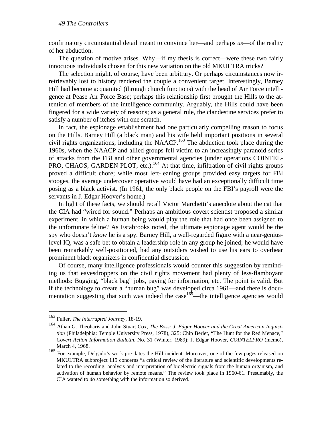confirmatory circumstantial detail meant to convince her—and perhaps *us*—of the reality of her abduction.

The question of motive arises. Why—if my thesis is correct—were these two fairly innocuous individuals chosen for this new variation on the old MKULTRA tricks?

The selection might, of course, have been arbitrary. Or perhaps circumstances now irretrievably lost to history rendered the couple a convenient target. Interestingly, Barney Hill had become acquainted (through church functions) with the head of Air Force intelligence at Pease Air Force Base; perhaps this relationship first brought the Hills to the attention of members of the intelligence community. Arguably, the Hills could have been fingered for a wide variety of reasons; as a general rule, the clandestine services prefer to satisfy a number of itches with one scratch.

In fact, the espionage establishment had one particularly compelling reason to focus on the Hills. Barney Hill (a black man) and his wife held important positions in several civil rights organizations, including the NAACP.<sup>163</sup> The abduction took place during the 1960s, when the NAACP and allied groups fell victim to an increasingly paranoid series of attacks from the FBI and other governmental agencies (under operations COINTEL-PRO, CHAOS, GARDEN PLOT, etc.).<sup>164</sup> At that time, infiltration of civil rights groups proved a difficult chore; while most left-leaning groups provided easy targets for FBI stooges, the average undercover operative would have had an exceptionally difficult time posing as a black activist. (In 1961, the only black people on the FBI's payroll were the servants in J. Edgar Hoover's home.)

In light of these facts, we should recall Victor Marchetti's anecdote about the cat that the CIA had "wired for sound." Perhaps an ambitious covert scientist proposed a similar experiment, in which a human being would play the role that had once been assigned to the unfortunate feline? As Estabrooks noted, the ultimate espionage agent would be the spy who doesn't *know* he is a spy. Barney Hill, a well-regarded figure with a near-geniuslevel IQ, was a safe bet to obtain a leadership role in any group he joined; he would have been remarkably well-positioned, had any outsiders wished to use his ears to overhear prominent black organizers in confidential discussion.

Of course, many intelligence professionals would counter this suggestion by reminding us that eavesdroppers on the civil rights movement had plenty of less-flamboyant methods: Bugging, "black bag" jobs, paying for information, etc. The point is valid. But if the technology to create a "human bug" was developed circa 1961—and there is documentation suggesting that such was indeed the case  $165$ —the intelligence agencies would

<sup>163</sup> Fuller, *The Interrupted Journey,* 18-19.

<sup>164</sup> Athan G. Theoharis and John Stuart Cox, *The Boss: J*. *Edgar Hoover and the Great American Inquisition* (Philadelphia: Temple University Press, 1978), 325; Chip Berlet, "The Hunt for the Red Menace," *Covert Action Information Bulletin,* No. 31 (Winter, 1989); J. Edgar Hoover, *COINTELPRO* (memo), March 4, 1968.

<sup>165</sup> For example, Delgado's work pre-dates the Hill incident. Moreover, one of the few pages released on MKULTRA subproject 119 concerns "a critical review of the literature and scientific developments related to the recording, analysis and interpretation of bioelectric signals from the human organism, and activation of human behavior by remote means." The review took place in 1960-61. Presumably, the CIA wanted to *do* something with the information so derived.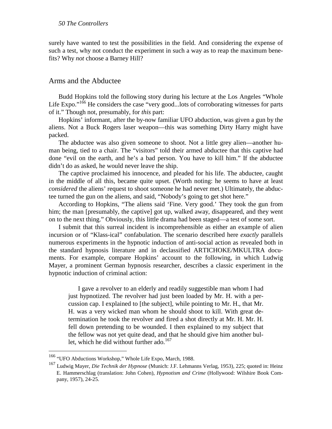surely have wanted to test the possibilities in the field. And considering the expense of such a test, why not conduct the experiment in such a way as to reap the maximum benefits? Why *not* choose a Barney Hill?

## Arms and the Abductee

Budd Hopkins told the following story during his lecture at the Los Angeles "Whole Life Expo."<sup>166</sup> He considers the case "very good...lots of corroborating witnesses for parts of it." Though not, presumably, for *this* part:

Hopkins' informant, after the by-now familiar UFO abduction, was given a gun by the aliens. Not a Buck Rogers laser weapon—this was something Dirty Harry might have packed.

The abductee was also given someone to shoot. Not a little grey alien—another human being, tied to a chair. The "visitors" told their armed abductee that this captive had done "evil on the earth, and he's a bad person. You have to kill him." If the abductee didn't do as asked, he would never leave the ship.

The captive proclaimed his innocence, and pleaded for his life. The abductee, caught in the middle of all this, became quite upset. (Worth noting: he seems to have at least *considered* the aliens' request to shoot someone he had never met.) Ultimately, the abductee turned the gun on the aliens, and said, "Nobody's going to get shot here."

According to Hopkins, "The aliens said 'Fine. Very good.' They took the gun from him; the man [presumably, the captive] got up, walked away, disappeared, and they went on to the next thing." Obviously, this little drama had been staged—a test of some sort.

I submit that this surreal incident is incomprehensible as either an example of alien incursion or of "Klass-ical" confabulation. The scenario described here *exactly* parallels numerous experiments in the hypnotic induction of anti-social action as revealed both in the standard hypnosis literature and in declassified ARTICHOKE/MKULTRA documents. For example, compare Hopkins' account to the following, in which Ludwig Mayer, a prominent German hypnosis researcher, describes a classic experiment in the hypnotic induction of criminal action:

I gave a revolver to an elderly and readily suggestible man whom I had just hypnotized. The revolver had just been loaded by Mr. H. with a percussion cap. I explained to [the subject], while pointing to Mr. H., that Mr. H. was a very wicked man whom he should shoot to kill. With great determination he took the revolver and fired a shot directly at Mr. H. Mr. H. fell down pretending to be wounded. I then explained to my subject that the fellow was not yet quite dead, and that he should give him another bullet, which he did without further ado.<sup>167</sup>

<sup>&</sup>lt;sup>166</sup> "UFO Abductions Workshop," Whole Life Expo, March, 1988.

<sup>167</sup> Ludwig Mayer, *Die Technik der Hypnose* (Munich: J.F. Lehmanns Verlag, 1953), 225; quoted in: Heinz E. Hammerschlag (translation: John Cohen), *Hypnotism and Crime* (Hollywood: Wilshire Book Company, 1957), 24-25.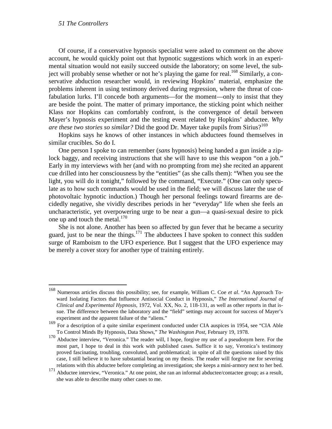-

Of course, if a conservative hypnosis specialist were asked to comment on the above account, he would quickly point out that hypnotic suggestions which work in an experimental situation would not easily succeed outside the laboratory; on some level, the subject will probably sense whether or not he's playing the game for real.<sup>168</sup> Similarly, a conservative abduction researcher would, in reviewing Hopkins' material, emphasize the problems inherent in using testimony derived during regression, where the threat of confabulation lurks. I'll concede both arguments—for the moment—only to insist that they are beside the point. The matter of primary importance, the sticking point which neither Klass nor Hopkins can comfortably confront, is the convergence of detail between Mayer's hypnosis experiment and the testing event related by Hopkins' abductee. *Why are these two stories so similar?* Did the good Dr. Mayer take pupils from Sirius?<sup>169</sup>

Hopkins says he knows of other instances in which abductees found themselves in similar crucibles. So do I.

One person I spoke to can remember (*sans* hypnosis) being handed a gun inside a ziplock baggy, and receiving instructions that she will have to use this weapon "on a job." Early in my interviews with her (and with no prompting from me) she recited an apparent cue drilled into her consciousness by the "entities" (as she calls them): "When you see the light, you will do it tonight," followed by the command, "Execute." (One can only speculate as to how such commands would be used in the field; we will discuss later the use of photovoltaic hypnotic induction.) Though her personal feelings toward firearms are decidedly negative, she vividly describes periods in her "everyday" life when she feels an uncharacteristic, yet overpowering urge to be near a gun—a quasi-sexual desire to pick one up and touch the metal. $170$ 

She is not alone. Another has been so affected by gun fever that he became a security guard, just to be near the things.<sup>171</sup> The abductees I have spoken to connect this sudden surge of Ramboism to the UFO experience. But I suggest that the UFO experience may be merely a cover story for another type of training entirely.

<sup>168</sup> Numerous articles discuss this possibility; see, for example, William C. Coe *et al*. "An Approach Toward Isolating Factors that Influence Antisocial Conduct in Hypnosis," *The International Journal of Clinical and Experimental Hypnosis,* 1972, Vol. XX, No. 2, 118-131, as well as other reports in that issue. The difference between the laboratory and the "field" settings may account for success of Mayer's experiment and the apparent failure of the "aliens."

<sup>169</sup> For a description of a quite similar experiment conducted under CIA auspices in 1954, see "CIA Able To Control Minds By Hypnosis, Data Shows," *The Washington Post,* February 19, 1978.

<sup>170</sup> Abductee interview, "Veronica." The reader will, I hope, forgive my use of a pseudonym here. For the most part, I hope to deal in this work with published cases. Suffice it to say, Veronica's testimony proved fascinating, troubling, convoluted, and problematical; in spite of all the questions raised by this case, I still believe it to have substantial bearing on my thesis. The reader will forgive me for severing relations with this abductee before completing an investigation; she keeps a mini-armory next to her bed.

<sup>&</sup>lt;sup>171</sup> Abductee interview, "Veronica." At one point, she ran an informal abductee/contactee group; as a result, she was able to describe many other cases to me.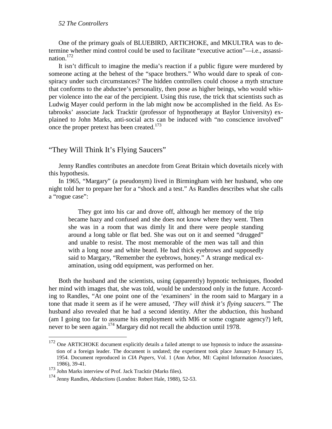One of the primary goals of BLUEBIRD, ARTICHOKE, and MKULTRA was to determine whether mind control could be used to facilitate "executive action"—i.e., assassination.<sup>172</sup>

It isn't difficult to imagine the media's reaction if a public figure were murdered by someone acting at the behest of the "space brothers." Who would dare to speak of conspiracy under such circumstances? The hidden controllers could choose a myth structure that conforms to the abductee's personality, then pose as higher beings, who would whisper violence into the ear of the percipient. Using this ruse, the trick that scientists such as Ludwig Mayer could perform in the lab might now be accomplished in the field. As Estabrooks' associate Jack Tracktir (professor of hypnotherapy at Baylor University) explained to John Marks, anti-social acts can be induced with "no conscience involved" once the proper pretext has been created.<sup>173</sup>

## "They Will Think It's Flying Saucers"

Jenny Randles contributes an anecdote from Great Britain which dovetails nicely with this hypothesis.

In 1965, "Margary" (a pseudonym) lived in Birmingham with her husband, who one night told her to prepare her for a "shock and a test." As Randles describes what she calls a "rogue case":

They got into his car and drove off, although her memory of the trip became hazy and confused and she does not know where they went. Then she was in a room that was dimly lit and there were people standing around a long table or flat bed. She was out on it and seemed "drugged" and unable to resist. The most memorable of the men was tall and thin with a long nose and white beard. He had thick eyebrows and supposedly said to Margary, "Remember the eyebrows, honey." A strange medical examination, using odd equipment, was performed on her.

Both the husband and the scientists, using (apparently) hypnotic techniques, flooded her mind with images that, she was told, would be understood only in the future. According to Randles, "At one point one of the 'examiners' in the room said to Margary in a tone that made it seem as if he were amused, *'They will think it's flying saucers*.*'*" The husband also revealed that he had a second identity. After the abduction, this husband (am I going too far to assume his employment with MI6 or some cognate agency?) left, never to be seen again.<sup>174</sup> Margary did not recall the abduction until 1978.

 $\overline{a}$ 

 $172$  One ARTICHOKE document explicitly details a failed attempt to use hypnosis to induce the assassination of a foreign leader. The document is undated; the experiment took place January 8-January 15, 1954. Document reproduced in *CIA Papers,* Vol. 1 (Ann Arbor, MI: Capitol Information Associates, 1986), 39-41.

<sup>173</sup> John Marks interview of Prof. Jack Tracktir (Marks files).

<sup>174</sup> Jenny Randles, *Abductions* (London: Robert Hale, 1988), 52-53.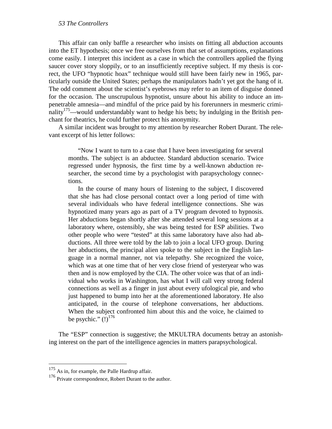This affair can only baffle a researcher who insists on fitting all abduction accounts into the ET hypothesis; once we free ourselves from that set of assumptions, explanations come easily. I interpret this incident as a case in which the controllers applied the flying saucer cover story sloppily, or to an insufficiently receptive subject. If my thesis is correct, the UFO "hypnotic hoax" technique would still have been fairly new in 1965, particularly outside the United States; perhaps the manipulators hadn't yet got the hang of it. The odd comment about the scientist's eyebrows may refer to an item of disguise donned for the occasion. The unscrupulous hypnotist, unsure about his ability to induce an impenetrable amnesia—and mindful of the price paid by his forerunners in mesmeric criminality<sup>175</sup>—would understandably want to hedge his bets; by indulging in the British penchant for theatrics, he could further protect his anonymity.

A similar incident was brought to my attention by researcher Robert Durant. The relevant excerpt of his letter follows:

"Now I want to turn to a case that I have been investigating for several months. The subject is an abductee. Standard abduction scenario. Twice regressed under hypnosis, the first time by a well-known abduction researcher, the second time by a psychologist with parapsychology connections.

In the course of many hours of listening to the subject, I discovered that she has had close personal contact over a long period of time with several individuals who have federal intelligence connections. She was hypnotized many years ago as part of a TV program devoted to hypnosis. Her abductions began shortly after she attended several long sessions at a laboratory where, ostensibly, she was being tested for ESP abilities. Two other people who were "tested" at this same laboratory have also had abductions. All three were told by the lab to join a local UFO group. During her abductions, the principal alien spoke to the subject in the English language in a normal manner, not via telepathy. She recognized the voice, which was at one time that of her very close friend of yesteryear who was then and is now employed by the CIA. The other voice was that of an individual who works in Washington, has what I will call very strong federal connections as well as a finger in just about every ufological pie, and who just happened to bump into her at the aforementioned laboratory. He also anticipated, in the course of telephone conversations, her abductions. When the subject confronted him about this and the voice, he claimed to be psychic."  $\left(\frac{1}{1}\right)^{176}$ 

The "ESP" connection is suggestive; the MKULTRA documents betray an astonishing interest on the part of the intelligence agencies in matters parapsychological.

<sup>&</sup>lt;sup>175</sup> As in, for example, the Palle Hardrup affair.

<sup>&</sup>lt;sup>176</sup> Private correspondence, Robert Durant to the author.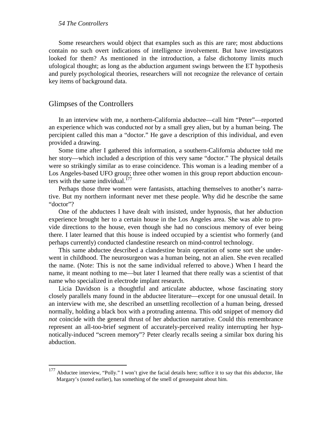Some researchers would object that examples such as this are rare; most abductions contain no such overt indications of intelligence involvement. But have investigators looked for them? As mentioned in the introduction, a false dichotomy limits much ufological thought; as long as the abduction argument swings between the ET hypothesis and purely psychological theories, researchers will not recognize the relevance of certain key items of background data.

## Glimpses of the Controllers

<u>.</u>

In an interview with me, a northern-California abductee—call him "Peter"—reported an experience which was conducted *not* by a small grey alien, but by a human being. The percipient called this man a "doctor." He gave a description of this individual, and even provided a drawing.

Some time after I gathered this information, a southern-California abductee told me her story—which included a description of this very same "doctor." The physical details were so strikingly similar as to erase coincidence. This woman is a leading member of a Los Angeles-based UFO group; three other women in this group report abduction encounters with the same individual.<sup>177</sup>

Perhaps those three women were fantasists, attaching themselves to another's narrative. But my northern informant never met these people. Why did he describe the same "doctor"?

One of the abductees I have dealt with insisted, under hypnosis, that her abduction experience brought her to a certain house in the Los Angeles area. She was able to provide directions to the house, even though she had no conscious memory of ever being there. I later learned that this house is indeed occupied by a scientist who formerly (and perhaps currently) conducted clandestine research on mind-control technology.

This same abductee described a clandestine brain operation of some sort she underwent in childhood. The neurosurgeon was a human being, not an alien. She even recalled the name. (Note: This is not the same individual referred to above.) When I heard the name, it meant nothing to me—but later I learned that there really was a scientist of that name who specialized in electrode implant research.

Licia Davidson is a thoughtful and articulate abductee, whose fascinating story closely parallels many found in the abductee literature—except for one unusual detail. In an interview with me, she described an unsettling recollection of a human being, dressed normally, holding a black box with a protruding antenna. This odd snippet of memory did *not* coincide with the general thrust of her abduction narrative. Could this remembrance represent an all-too-brief segment of accurately-perceived reality interrupting her hypnotically-induced "screen memory"? Peter clearly recalls seeing a similar box during his abduction.

 $177$  Abductee interview, "Polly." I won't give the facial details here; suffice it to say that this abductor, like Margary's (noted earlier), has something of the smell of greasepaint about him.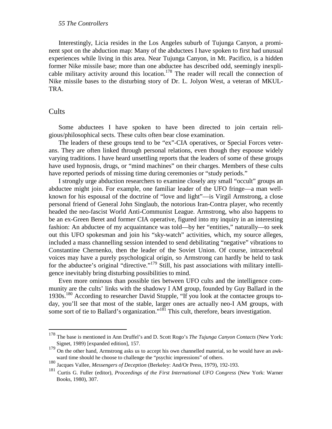Interestingly, Licia resides in the Los Angeles suburb of Tujunga Canyon, a prominent spot on the abduction map: Many of the abductees I have spoken to first had unusual experiences while living in this area. Near Tujunga Canyon, in Mt. Pacifico, is a hidden former Nike missile base; more than one abductee has described odd, seemingly inexplicable military activity around this location.<sup>178</sup> The reader will recall the connection of Nike missile bases to the disturbing story of Dr. L. Jolyon West, a veteran of MKUL-TRA.

#### **Cults**

<u>.</u>

Some abductees I have spoken to have been directed to join certain religious/philosophical sects. These cults often bear close examination.

The leaders of these groups tend to be "ex"-CIA operatives, or Special Forces veterans. They are often linked through personal relations, even though they espouse widely varying traditions. I have heard unsettling reports that the leaders of some of these groups have used hypnosis, drugs, or "mind machines" on their charges. Members of these cults have reported periods of missing time during ceremonies or "study periods."

I strongly urge abduction researchers to examine closely any small "occult" groups an abductee might join. For example, one familiar leader of the UFO fringe—a man wellknown for his espousal of the doctrine of "love and light"—is Virgil Armstrong, a close personal friend of General John Singlaub, the notorious Iran-Contra player, who recently headed the neo-fascist World Anti-Communist League. Armstrong, who also happens to be an ex-Green Beret and former CIA operative, figured into my inquiry in an interesting fashion: An abductee of my acquaintance was told—by her "entities," naturally—to seek out this UFO spokesman and join his "sky-watch" activities, which, my source alleges, included a mass channelling session intended to send debilitating "negative" vibrations to Constantine Chernenko, then the leader of the Soviet Union. Of course, intracerebral voices may have a purely psychological origin, so Armstrong can hardly be held to task for the abductee's original "directive."<sup>179</sup> Still, his past associations with military intelligence inevitably bring disturbing possibilities to mind.

Even more ominous than possible ties between UFO cults and the intelligence community are the cults' links with the shadowy I AM group, founded by Guy Ballard in the 1930s.<sup>180</sup> According to researcher David Stupple, "If you look at the contactee groups today, you'll see that most of the stable, larger ones are actually neo-I AM groups, with some sort of tie to Ballard's organization."<sup>181</sup> This cult, therefore, bears investigation.

<sup>178</sup> The base is mentioned in Ann Druffel's and D. Scott Rogo's *The Tujunga Canyon Contacts* (New York: Signet, 1989) [expanded edition], 157.

<sup>&</sup>lt;sup>179</sup> On the other hand, Armstrong asks us to accept his own channelled material, so he would have an awkward time should he choose to challenge the "psychic impressions" of others.

<sup>180&</sup>lt;br>
Jacques Vallee, *Messengers of Deception* (Berkeley: And/Or Press, 1979), 192-193.<br>
<sup>181</sup> Curtis G. Fellen (alitar), *Pressedings of the First International UEO* General:

<sup>181</sup> Curtis G. Fuller (editor), *Proceedings of the First International UFO Congress* (New York: Warner Books, 1980), 307.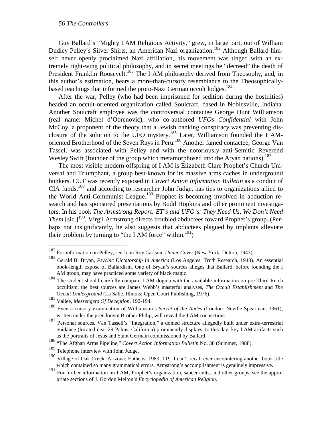Guy Ballard's "Mighty I AM Religious Activity," grew, in large part, out of William Dudley Pelley's Silver Shirts, an American Nazi organization.<sup>182</sup> Although Ballard himself never openly proclaimed Nazi affiliation, his movement was tinged with an extremely right-wing political philosophy, and in secret meetings he "decreed" the death of President Franklin Roosevelt.<sup>183</sup> The I AM philosophy derived from Theosophy, and, in this author's estimation, bears a more-than-cursory resemblance to the Theosophicallybased teachings that informed the proto-Nazi German occult lodges.<sup>184</sup>

After the war, Pelley (who had been imprisoned for sedition during the hostilities) headed an occult-oriented organization called Soulcraft, based in Noblesville, Indiana. Another Soulcraft employee was the controversial contactee George Hunt Williamson (real name: Michel d'Obrenovic), who co-authored *UFOs Confidential* with John McCoy, a proponent of the theory that a Jewish banking conspiracy was preventing disclosure of the solution to the UFO mystery.<sup>185</sup> Later, Williamson founded the I AMoriented Brotherhood of the Seven Rays in Peru.<sup>186</sup> Another famed contactee, George Van Tassel, was associated with Pelley and with the notoriously anti-Semitic Reverend Wesley Swift (founder of the group which metamorphosed into the Aryan nations).<sup>187</sup>

The most visible modern offspring of I AM is Elizabeth Clare Prophet's Church Universal and Triumphant, a group best-known for its massive arms caches in underground bunkers. CUT was recently exposed in *Covert Action Information Bulletin* as a conduit of CIA funds,<sup>188</sup> and according to researcher John Judge, has ties to organizations allied to the World Anti-Communist League.<sup>189</sup> Prophet is becoming involved in abduction research and has sponsored presentations by Budd Hopkins and other prominent investigators. In his book *The Armstrong Report: ET's and UFO's: They Need Us, We Don't Need Them* [sic.]<sup>190</sup>, Virgil Armstrong directs troubled abductees toward Prophet's group. (Perhaps not insignificantly, he also suggests that abductees plagued by implants alleviate their problem by turning to "the I AM force" within.<sup>191</sup>)

<sup>182</sup> For information on Pelley, see John Roy Carlson, *Under Cover* (New York: Dutton, 1943).

<sup>183</sup> Gerald B. Bryan, *Psychic Dictatorship In America* (Los Angeles: Truth Research, 1940). An essential book-length expose of Ballardism. One of Bryan's sources alleges that Ballard, before founding the I AM group, may have practiced some variety of black magic.

<sup>&</sup>lt;sup>184</sup> The student should carefully compare I AM dogma with the available information on pre-Third Reich occultism; the best sources are James Webb's masterful analyses, *The Occult Establishment* and *The Occult Underground* (La Salle, Illinois: Open Court Publishing, 1976).

<sup>185</sup> Vallee, *Messengers Of Deception,* 192-194.

<sup>186</sup> Even a cursory examination of Williamson's *Secret of the Andes* (London: Neville Spearman, 1961), written under the pseudonym Brother Philip, will reveal the I AM connections.

<sup>187</sup> Personal sources. Van Tassell's "Integration," a domed structure allegedly built under extra-terrestrial guidance (located near 29 Palms, California) prominently displays, to this day, key I AM artifacts such as the portraits of Jesus and Saint Germain commissioned by Ballard.

<sup>188 &</sup>quot;The Afghan Arms Pipeline," *Covert Action Information Bulletin* No. 30 (Summer, 1988).<br><sup>189</sup> Telephone interview with John Judge

Telephone interview with John Judge.

<sup>&</sup>lt;sup>190</sup> Village of Oak Creek, Arizona: Entheos, 1989, 119. I can't recall ever encountering another book title which contained so many grammatical errors. Armstrong's accomplishment is genuinely impressive.

<sup>&</sup>lt;sup>191</sup> For further information on I AM, Prophet's organization, saucer cults, and other groups, see the appropriate sections of J. Gordon Melton's *Encyclopedia of American Religion*.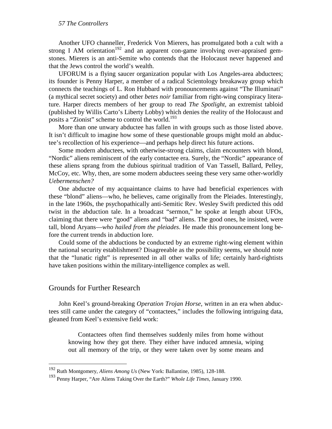Another UFO channeller, Frederick Von Mierers, has promulgated both a cult with a strong I AM orientation<sup>192</sup> and an apparent con-game involving over-appraised gemstones. Mierers is an anti-Semite who contends that the Holocaust never happened and that the Jews control the world's wealth.

UFORUM is a flying saucer organization popular with Los Angeles-area abductees; its founder is Penny Harper, a member of a radical Scientology breakaway group which connects the teachings of L. Ron Hubbard with pronouncements against "The Illuminati" (a mythical secret society) and other *betes noir* familiar from right-wing conspiracy literature. Harper directs members of her group to read *The Spotlight,* an extremist tabloid (published by Willis Carto's Liberty Lobby) which denies the reality of the Holocaust and posits a "Zionist" scheme to control the world.<sup>193</sup>

More than one unwary abductee has fallen in with groups such as those listed above. It isn't difficult to imagine how some of these questionable groups might mold an abductee's recollection of his experience—and perhaps help direct his future actions.

Some modern abductees, with otherwise-strong claims, claim encounters with blond, "Nordic" aliens reminiscent of the early contactee era. Surely, the "Nordic" appearance of these aliens sprang from the dubious spiritual tradition of Van Tassell, Ballard, Pelley, McCoy, etc. Why, then, are some modern abductees seeing these very same other-worldly *Uebermenschen?*

One abductee of my acquaintance claims to have had beneficial experiences with these "blond" aliens—who, he believes, came originally from the Pleiades. Interestingly, in the late 1960s, the psychopathically anti-Semitic Rev. Wesley Swift predicted this odd twist in the abduction tale. In a broadcast "sermon," he spoke at length about UFOs, claiming that there were "good" aliens and "bad" aliens. The good ones, he insisted, were tall, blond Aryans—*who hailed from the pleiades*. He made this pronouncement long before the current trends in abduction lore.

Could some of the abductions be conducted by an extreme right-wing element within the national security establishment? Disagreeable as the possibility seems, we should note that the "lunatic right" is represented in all other walks of life; certainly hard-rightists have taken positions within the military-intelligence complex as well.

#### Grounds for Further Research

 $\overline{a}$ 

John Keel's ground-breaking *Operation Trojan Horse,* written in an era when abductees still came under the category of "contactees," includes the following intriguing data, gleaned from Keel's extensive field work:

Contactees often find themselves suddenly miles from home without knowing how they got there. They either have induced amnesia, wiping out all memory of the trip, or they were taken over by some means and

<sup>192</sup> Ruth Montgomery, *Aliens Among Us* (New York: Ballantine, 1985), 128-188.

<sup>193</sup> Penny Harper, "Are Aliens Taking Over the Earth?" *Whole Life Times,* January 1990.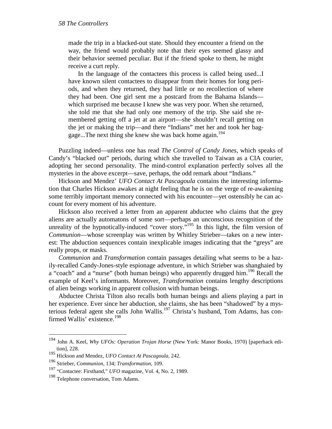made the trip in a blacked-out state. Should they encounter a friend on the way, the friend would probably note that their eyes seemed glassy and their behavior seemed peculiar. But if the friend spoke to them, he might receive a curt reply.

In the language of the contactees this process is called being used...I have known silent contactees to disappear from their homes for long periods, and when they returned, they had little or no recollection of where they had been. One girl sent me a postcard from the Bahama Islands which surprised me because I knew she was very poor. When she returned, she told me that she had only one memory of the trip. She said she remembered getting off a jet at an airport—she shouldn't recall getting on the jet or making the trip—and there "Indians" met her and took her baggage...The next thing she knew she was back home again.<sup>194</sup>

Puzzling indeed—unless one has read *The Control of Candy Jones,* which speaks of Candy's "blacked out" periods, during which she travelled to Taiwan as a CIA courier, adopting her second personality. The mind-control explanation perfectly solves all the mysteries in the above excerpt—save, perhaps, the odd remark about "Indians."

Hickson and Mendez' *UFO Contact At Pascagoula* contains the interesting information that Charles Hickson awakes at night feeling that he is on the verge of re-awakening some terribly important memory connected with his encounter—yet ostensibly he can account for every moment of his adventure.

Hickson also received a letter from an apparent abductee who claims that the grey aliens are actually automatons of some sort—perhaps an unconscious recognition of the unreality of the hypnotically-induced "cover story."<sup>195</sup> In this light, the film version of *Communion*—whose screenplay was written by Whitley Strieber—takes on a new interest: The abduction sequences contain inexplicable images indicating that the "greys" are really props, or masks.

*Communion* and *Transformation* contain passages detailing what seems to be a hazily-recalled Candy-Jones-style espionage adventure, in which Strieber was shanghaied by a "coach" and a "nurse" (both human beings) who apparently drugged him.<sup>196</sup> Recall the example of Keel's informants. Moreover, *Transformation* contains lengthy descriptions of alien beings working in apparent collusion with human beings.

Abductee Christa Tilton also recalls both human beings and aliens playing a part in her experience. Ever since her abduction, she claims, she has been "shadowed" by a mysterious federal agent she calls John Wallis.<sup>197</sup> Christa's husband, Tom Adams, has confirmed Wallis' existence.<sup>198</sup>

<sup>194</sup> John A. Keel, *Why UFOs: Operation Trojan Horse* (New York: Manor Books, 1970) [paperback edition], 228.

<sup>195</sup> Hickson and Mendez, *UFO Contact At Pascagoula,* 242.

<sup>196</sup> Strieber, *Communion,* 134; *Transformation,* 109.

<sup>197</sup> "Contactee: Firsthand," *UFO* magazine, Vol. 4, No. 2, 1989.

<sup>198</sup> Telephone conversation, Tom Adams.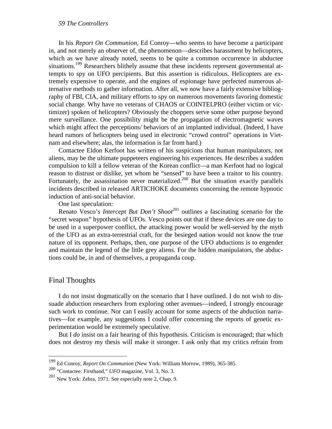In his *Report On Communion,* Ed Conroy—who seems to have become a participant in, and not merely an observer of, the phenomenon—describes harassment by helicopters, which as we have already noted, seems to be quite a common occurrence in abductee situations.<sup>199</sup> Researchers blithely assume that these incidents represent governmental attempts to spy on UFO percipients. But this assertion is ridiculous. Helicopters are extremely expensive to operate, and the engines of espionage have perfected numerous alternative methods to gather information. After all, we now have a fairly extensive bibliography of FBI, CIA, and military efforts to spy on numerous movements favoring domestic social change. Why have no veterans of CHAOS or COINTELPRO (either victim or victimizer) spoken of helicopters? Obviously the choppers serve some other purpose beyond mere surveillance. One possibility might be the propagation of electromagnetic waves which might affect the perceptions/ behaviors of an implanted individual. (Indeed, I have heard rumors of helicopters being used in electronic "crowd control" operations in Vietnam and elsewhere; alas, the information is far from hard.)

Contactee Eldon Kerfoot has written of his suspicions that human manipulators, not aliens, may be the ultimate puppeteers engineering his experiences. He describes a sudden compulsion to kill a fellow veteran of the Korean conflict—a man Kerfoot had no logical reason to distrust or dislike, yet whom he "sensed" to have been a traitor to his country. Fortunately, the assassination never materialized.<sup>200</sup> But the situation exactly parallels incidents described in released ARTICHOKE documents concerning the remote hypnotic induction of anti-social behavior.

One last speculation:

Renato Vesco's *Intercept But Don't Shoot*<sup>201</sup> outlines a fascinating scenario for the "secret weapon" hypothesis of UFOs. Vesco points out that if these devices are one day to be used in a superpower conflict, the attacking power would be well-served by the myth of the UFO as an extra-terrestrial craft, for the besieged nation would not know the true nature of its opponent. Perhaps, then, one purpose of the UFO abductions is to engender and maintain the legend of the little grey aliens. For the hidden manipulators, the abductions could be, in and of themselves, a propaganda coup.

## Final Thoughts

<u>.</u>

I do not insist dogmatically on the scenario that I have outlined. I do not wish to dissuade abduction researchers from exploring other avenues—indeed, I strongly encourage such work to continue. Nor can I easily account for some aspects of the abduction narratives—for example, any suggestions I could offer concerning the reports of genetic experimentation would be extremely speculative.

But I *do* insist on a fair hearing of this hypothesis. Criticism is encouraged; that which does not destroy my thesis will make it stronger. I ask only that my critics refrain from

<sup>199</sup> Ed Conroy, *Report On Communion* (New York: William Morrow, 1989), 365-385.

<sup>200</sup> "Contactee: Firsthand," *UFO* magazine, Vol. 3, No. 3.

<sup>201</sup> New York: Zebra, 1971. See especially note 2, Chap. 9.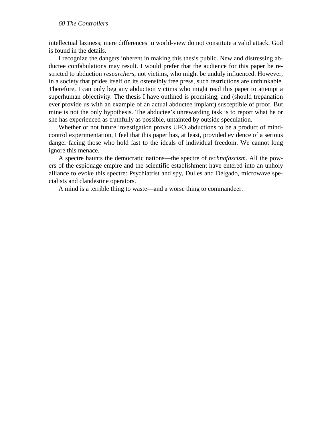intellectual laziness; mere differences in world-view do not constitute a valid attack. God is found in the details.

I recognize the dangers inherent in making this thesis public. New and distressing abductee confabulations may result. I would prefer that the audience for this paper be restricted to abduction *researchers,* not victims, who might be unduly influenced. However, in a society that prides itself on its ostensibly free press, such restrictions are unthinkable. Therefore, I can only beg any abduction victims who might read this paper to attempt a superhuman objectivity. The thesis I have outlined is promising, and (should trepanation ever provide us with an example of an actual abductee implant) susceptible of proof. But mine is not the only hypothesis. The abductee's unrewarding task is to report what he or she has experienced as truthfully as possible, untainted by outside speculation.

Whether or not future investigation proves UFO abductions to be a product of mindcontrol experimentation, I feel that this paper has, at least, provided evidence of a serious danger facing those who hold fast to the ideals of individual freedom. We cannot long ignore this menace.

A spectre haunts the democratic nations—the spectre of *technofascism*. All the powers of the espionage empire and the scientific establishment have entered into an unholy alliance to evoke this spectre: Psychiatrist and spy, Dulles and Delgado, microwave specialists and clandestine operators.

A mind is a terrible thing to waste—and a worse thing to commandeer.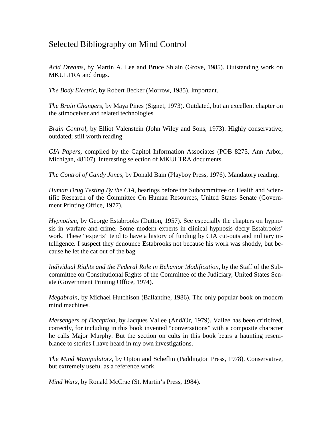# Selected Bibliography on Mind Control

*Acid Dreams,* by Martin A. Lee and Bruce Shlain (Grove, 1985). Outstanding work on MKULTRA and drugs.

*The Body Electric,* by Robert Becker (Morrow, 1985). Important.

*The Brain Changers,* by Maya Pines (Signet, 1973). Outdated, but an excellent chapter on the stimoceiver and related technologies.

*Brain Control,* by Elliot Valenstein (John Wiley and Sons, 1973). Highly conservative; outdated; still worth reading.

*CIA Papers,* compiled by the Capitol Information Associates (POB 8275, Ann Arbor, Michigan, 48107). Interesting selection of MKULTRA documents.

*The Control of Candy Jones,* by Donald Bain (Playboy Press, 1976). Mandatory reading.

*Human Drug Testing By the CIA,* hearings before the Subcommittee on Health and Scientific Research of the Committee On Human Resources, United States Senate (Government Printing Office, 1977).

*Hypnotism,* by George Estabrooks (Dutton, 1957). See especially the chapters on hypnosis in warfare and crime. Some modern experts in clinical hypnosis decry Estabrooks' work. These "experts" tend to have a history of funding by CIA cut-outs and military intelligence. I suspect they denounce Estabrooks not because his work was shoddy, but because he let the cat out of the bag.

*Individual Rights and the Federal Role in Behavior Modification,* by the Staff of the Subcommittee on Constitutional Rights of the Committee of the Judiciary, United States Senate (Government Printing Office, 1974).

*Megabrain,* by Michael Hutchison (Ballantine, 1986). The only popular book on modern mind machines.

*Messengers of Deception,* by Jacques Vallee (And/Or, 1979). Vallee has been criticized, correctly, for including in this book invented "conversations" with a composite character he calls Major Murphy. But the section on cults in this book bears a haunting resemblance to stories I have heard in my own investigations.

*The Mind Manipulators,* by Opton and Scheflin (Paddington Press, 1978). Conservative, but extremely useful as a reference work.

*Mind Wars,* by Ronald McCrae (St. Martin's Press, 1984).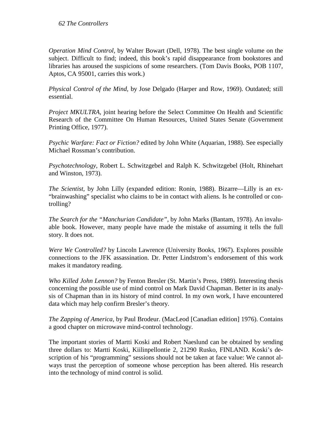*Operation Mind Control,* by Walter Bowart (Dell, 1978). The best single volume on the subject. Difficult to find; indeed, this book's rapid disappearance from bookstores and libraries has aroused the suspicions of some researchers. (Tom Davis Books, POB 1107, Aptos, CA 95001, carries this work.)

*Physical Control of the Mind,* by Jose Delgado (Harper and Row, 1969). Outdated; still essential.

*Project MKULTRA*, joint hearing before the Select Committee On Health and Scientific Research of the Committee On Human Resources, United States Senate (Government Printing Office, 1977).

*Psychic Warfare: Fact or Fiction?* edited by John White (Aquarian, 1988). See especially Michael Rossman's contribution.

*Psychotechnology,* Robert L. Schwitzgebel and Ralph K. Schwitzgebel (Holt, Rhinehart and Winston, 1973).

*The Scientist,* by John Lilly (expanded edition: Ronin, 1988). Bizarre—Lilly is an ex- "brainwashing" specialist who claims to be in contact with aliens. Is he controlled or controlling?

*The Search for the "Manchurian Candidate",* by John Marks (Bantam, 1978). An invaluable book. However, many people have made the mistake of assuming it tells the full story. It does not.

*Were We Controlled?* by Lincoln Lawrence (University Books, 1967). Explores possible connections to the JFK assassination. Dr. Petter Lindstrom's endorsement of this work makes it mandatory reading.

*Who Killed John Lennon?* by Fenton Bresler (St. Martin's Press, 1989). Interesting thesis concerning the possible use of mind control on Mark David Chapman. Better in its analysis of Chapman than in its history of mind control. In my own work, I have encountered data which may help confirm Bresler's theory.

*The Zapping of America,* by Paul Brodeur. (MacLeod [Canadian edition] 1976). Contains a good chapter on microwave mind-control technology.

The important stories of Martti Koski and Robert Naeslund can be obtained by sending three dollars to: Martti Koski, Kiilinpellontie 2, 21290 Rusko, FINLAND. Koski's description of his "programming" sessions should not be taken at face value: We cannot always trust the perception of someone whose perception has been altered. His research into the technology of mind control is solid.